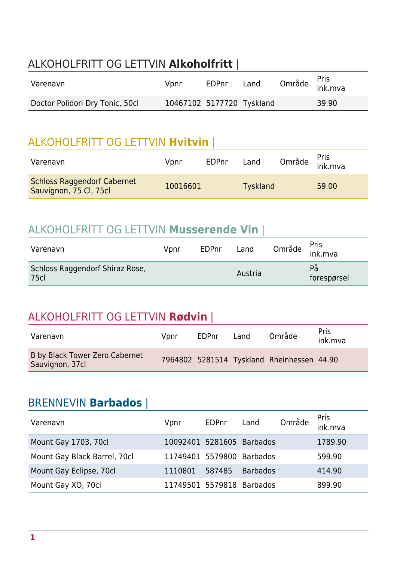### ALKOHOLFRITT OG LETTVIN **Alkoholfritt** |

| Varenavn                        | Vpnr                      | EDPnr | Land | Område <sup>Pris</sup><br>ink.mva |
|---------------------------------|---------------------------|-------|------|-----------------------------------|
| Doctor Polidori Dry Tonic, 50cl | 10467102 5177720 Tyskland |       |      | 39.90                             |

### ALKOHOLFRITT OG LETTVIN **Hvitvin** |

| Varenavn                                                     | Vpnr     | EDPnr | Land            | Område <sup>Pris</sup><br>ink.mva |
|--------------------------------------------------------------|----------|-------|-----------------|-----------------------------------|
| <b>Schloss Raggendorf Cabernet</b><br>Sauvignon, 75 Cl, 75cl | 10016601 |       | <b>Tyskland</b> | 59.00                             |

#### ALKOHOLFRITT OG LETTVIN **Musserende Vin** |

| Varenavn                                       | Vpnr | <b>EDPnr</b> | Land    | Område <sup>Pris</sup><br>ink.mva |
|------------------------------------------------|------|--------------|---------|-----------------------------------|
| Schloss Raggendorf Shiraz Rose,<br><b>75cl</b> |      |              | Austria | På<br>forespørsel                 |

#### ALKOHOLFRITT OG LETTVIN **Rødvin** |

| Varenavn                                          | Vpnr | EDPnr | Land | Område                                     | <b>Pris</b><br>ink.mva |
|---------------------------------------------------|------|-------|------|--------------------------------------------|------------------------|
| B by Black Tower Zero Cabernet<br>Sauvignon, 37cl |      |       |      | 7964802 5281514 Tyskland Rheinhessen 44.90 |                        |

#### BRENNEVIN **Barbados** |

| Varenavn                     | Vpnr                      | EDPnr  | Land            | Område | Pris<br>ink.mva |
|------------------------------|---------------------------|--------|-----------------|--------|-----------------|
| Mount Gay 1703, 70cl         | 10092401 5281605 Barbados |        |                 |        | 1789.90         |
| Mount Gay Black Barrel, 70cl | 11749401 5579800 Barbados |        |                 |        | 599.90          |
| Mount Gay Eclipse, 70cl      | 1110801                   | 587485 | <b>Barbados</b> |        | 414.90          |
| Mount Gay XO, 70cl           | 11749501 5579818 Barbados |        |                 |        | 899.90          |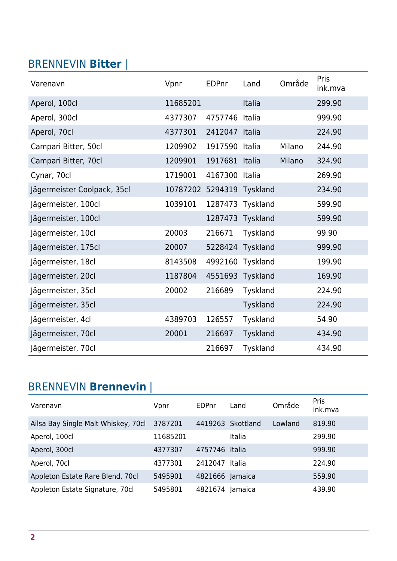### BRENNEVIN **Bitter** |

| Varenavn                    | Vpnr     | <b>EDPnr</b> | Land     | Område | Pris<br>ink.mva |
|-----------------------------|----------|--------------|----------|--------|-----------------|
| Aperol, 100cl               | 11685201 |              | Italia   |        | 299.90          |
| Aperol, 300cl               | 4377307  | 4757746      | Italia   |        | 999.90          |
| Aperol, 70cl                | 4377301  | 2412047      | Italia   |        | 224.90          |
| Campari Bitter, 50cl        | 1209902  | 1917590      | Italia   | Milano | 244.90          |
| Campari Bitter, 70cl        | 1209901  | 1917681      | Italia   | Milano | 324.90          |
| Cynar, 70cl                 | 1719001  | 4167300      | Italia   |        | 269.90          |
| Jägermeister Coolpack, 35cl | 10787202 | 5294319      | Tyskland |        | 234.90          |
| Jägermeister, 100cl         | 1039101  | 1287473      | Tyskland |        | 599.90          |
| Jägermeister, 100cl         |          | 1287473      | Tyskland |        | 599.90          |
| Jägermeister, 10cl          | 20003    | 216671       | Tyskland |        | 99.90           |
| Jägermeister, 175cl         | 20007    | 5228424      | Tyskland |        | 999.90          |
| Jägermeister, 18cl          | 8143508  | 4992160      | Tyskland |        | 199.90          |
| Jägermeister, 20cl          | 1187804  | 4551693      | Tyskland |        | 169.90          |
| Jägermeister, 35cl          | 20002    | 216689       | Tyskland |        | 224.90          |
| Jägermeister, 35cl          |          |              | Tyskland |        | 224.90          |
| Jägermeister, 4cl           | 4389703  | 126557       | Tyskland |        | 54.90           |
| Jägermeister, 70cl          | 20001    | 216697       | Tyskland |        | 434.90          |
| Jägermeister, 70cl          |          | 216697       | Tyskland |        | 434.90          |

## BRENNEVIN **Brennevin** |

| Varenavn                            | Vpnr     | <b>EDPnr</b>    | Land              | Område  | Pris<br>ink.mva |
|-------------------------------------|----------|-----------------|-------------------|---------|-----------------|
| Ailsa Bay Single Malt Whiskey, 70cl | 3787201  |                 | 4419263 Skottland | Lowland | 819.90          |
| Aperol, 100cl                       | 11685201 |                 | Italia            |         | 299.90          |
| Aperol, 300cl                       | 4377307  | 4757746 Italia  |                   |         | 999.90          |
| Aperol, 70cl                        | 4377301  | 2412047         | Italia            |         | 224.90          |
| Appleton Estate Rare Blend, 70cl    | 5495901  | 4821666 Jamaica |                   |         | 559.90          |
| Appleton Estate Signature, 70cl     | 5495801  | 4821674         | Jamaica           |         | 439.90          |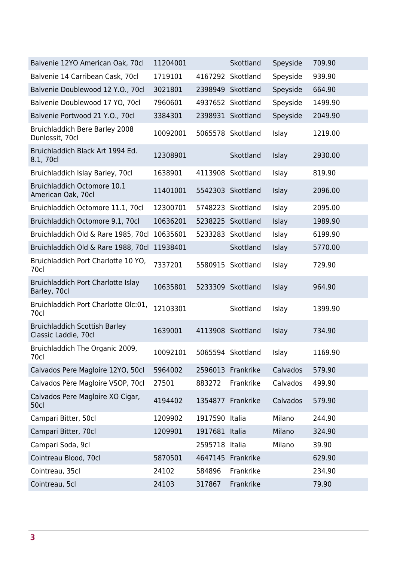| Balvenie 12YO American Oak, 70cl                             | 11204001 |                | Skottland         | Speyside | 709.90  |
|--------------------------------------------------------------|----------|----------------|-------------------|----------|---------|
| Balvenie 14 Carribean Cask, 70cl                             | 1719101  |                | 4167292 Skottland | Speyside | 939.90  |
| Balvenie Doublewood 12 Y.O., 70cl                            | 3021801  |                | 2398949 Skottland | Speyside | 664.90  |
| Balvenie Doublewood 17 YO, 70cl                              | 7960601  |                | 4937652 Skottland | Speyside | 1499.90 |
| Balvenie Portwood 21 Y.O., 70cl                              | 3384301  |                | 2398931 Skottland | Speyside | 2049.90 |
| <b>Bruichladdich Bere Barley 2008</b><br>Dunlossit, 70cl     | 10092001 |                | 5065578 Skottland | Islay    | 1219.00 |
| Bruichladdich Black Art 1994 Ed.<br>8.1, 70cl                | 12308901 |                | Skottland         | Islay    | 2930.00 |
| Bruichladdich Islay Barley, 70cl                             | 1638901  |                | 4113908 Skottland | Islay    | 819.90  |
| Bruichladdich Octomore 10.1<br>American Oak, 70cl            | 11401001 |                | 5542303 Skottland | Islay    | 2096.00 |
| Bruichladdich Octomore 11.1, 70cl                            | 12300701 |                | 5748223 Skottland | Islay    | 2095.00 |
| Bruichladdich Octomore 9.1, 70cl                             | 10636201 |                | 5238225 Skottland | Islay    | 1989.90 |
| Bruichladdich Old & Rare 1985, 70cl                          | 10635601 |                | 5233283 Skottland | Islay    | 6199.90 |
| Bruichladdich Old & Rare 1988, 70cl                          | 11938401 |                | Skottland         | Islay    | 5770.00 |
| Bruichladdich Port Charlotte 10 YO,<br>70cl                  | 7337201  | 5580915        | Skottland         | Islay    | 729.90  |
| Bruichladdich Port Charlotte Islay<br>Barley, 70cl           | 10635801 |                | 5233309 Skottland | Islay    | 964.90  |
| Bruichladdich Port Charlotte Olc:01,<br>70cl                 | 12103301 |                | Skottland         | Islay    | 1399.90 |
| <b>Bruichladdich Scottish Barley</b><br>Classic Laddie, 70cl | 1639001  |                | 4113908 Skottland | Islay    | 734.90  |
| Bruichladdich The Organic 2009,<br>70cl                      | 10092101 |                | 5065594 Skottland | Islay    | 1169.90 |
| Calvados Pere Magloire 12YO, 50cl                            | 5964002  |                | 2596013 Frankrike | Calvados | 579.90  |
| Calvados Père Magloire VSOP, 70cl                            | 27501    | 883272         | Frankrike         | Calvados | 499.90  |
| Calvados Pere Magloire XO Cigar,<br>50cl                     | 4194402  |                | 1354877 Frankrike | Calvados | 579.90  |
| Campari Bitter, 50cl                                         | 1209902  | 1917590 Italia |                   | Milano   | 244.90  |
| Campari Bitter, 70cl                                         | 1209901  | 1917681 Italia |                   | Milano   | 324.90  |
| Campari Soda, 9cl                                            |          | 2595718 Italia |                   | Milano   | 39.90   |
| Cointreau Blood, 70cl                                        | 5870501  |                | 4647145 Frankrike |          | 629.90  |
| Cointreau, 35cl                                              | 24102    | 584896         | Frankrike         |          | 234.90  |
| Cointreau, 5cl                                               | 24103    | 317867         | Frankrike         |          | 79.90   |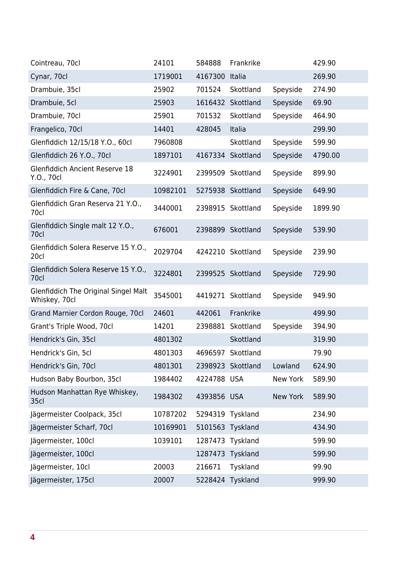| Cointreau, 70cl                                              | 24101    | 584888           | Frankrike         |                 | 429.90  |
|--------------------------------------------------------------|----------|------------------|-------------------|-----------------|---------|
| Cynar, 70cl                                                  | 1719001  | 4167300          | Italia            |                 | 269.90  |
| Drambuie, 35cl                                               | 25902    | 701524           | Skottland         | Speyside        | 274.90  |
| Drambuie, 5cl                                                | 25903    |                  | 1616432 Skottland | Speyside        | 69.90   |
| Drambuie, 70cl                                               | 25901    | 701532           | Skottland         | Speyside        | 464.90  |
| Frangelico, 70cl                                             | 14401    | 428045           | Italia            |                 | 299.90  |
| Glenfiddich 12/15/18 Y.O., 60cl                              | 7960808  |                  | Skottland         | Speyside        | 599.90  |
| Glenfiddich 26 Y.O., 70cl                                    | 1897101  |                  | 4167334 Skottland | Speyside        | 4790.00 |
| <b>Glenfiddich Ancient Reserve 18</b><br>Y.O., 70cl          | 3224901  |                  | 2399509 Skottland | Speyside        | 899.90  |
| Glenfiddich Fire & Cane, 70cl                                | 10982101 |                  | 5275938 Skottland | Speyside        | 649.90  |
| Glenfiddich Gran Reserva 21 Y.O.,<br>70cl                    | 3440001  |                  | 2398915 Skottland | Speyside        | 1899.90 |
| Glenfiddich Single malt 12 Y.O.,<br>70cl                     | 676001   |                  | 2398899 Skottland | Speyside        | 539.90  |
| Glenfiddich Solera Reserve 15 Y.O.,<br>20cl                  | 2029704  |                  | 4242210 Skottland | Speyside        | 239.90  |
| Glenfiddich Solera Reserve 15 Y.O.,<br>70cl                  | 3224801  |                  | 2399525 Skottland | Speyside        | 729.90  |
| <b>Glenfiddich The Original Singel Malt</b><br>Whiskey, 70cl | 3545001  |                  | 4419271 Skottland | Speyside        | 949.90  |
| Grand Marnier Cordon Rouge, 70cl                             | 24601    | 442061           | Frankrike         |                 | 499.90  |
| Grant's Triple Wood, 70cl                                    | 14201    | 2398881          | Skottland         | Speyside        | 394.90  |
| Hendrick's Gin, 35cl                                         | 4801302  |                  | Skottland         |                 | 319.90  |
| Hendrick's Gin, 5cl                                          | 4801303  | 4696597          | Skottland         |                 | 79.90   |
| Hendrick's Gin, 70cl                                         | 4801301  |                  | 2398923 Skottland | Lowland         | 624.90  |
| Hudson Baby Bourbon, 35cl                                    | 1984402  | 4224788 USA      |                   | New York        | 589.90  |
| Hudson Manhattan Rye Whiskey,<br>35cl                        | 1984302  | 4393856 USA      |                   | <b>New York</b> | 589.90  |
| Jägermeister Coolpack, 35cl                                  | 10787202 | 5294319 Tyskland |                   |                 | 234.90  |
| Jägermeister Scharf, 70cl                                    | 10169901 | 5101563 Tyskland |                   |                 | 434.90  |
| Jägermeister, 100cl                                          | 1039101  | 1287473          | Tyskland          |                 | 599.90  |
| Jägermeister, 100cl                                          |          | 1287473          | Tyskland          |                 | 599.90  |
| Jägermeister, 10cl                                           | 20003    | 216671           | Tyskland          |                 | 99.90   |
| Jägermeister, 175cl                                          | 20007    | 5228424 Tyskland |                   |                 | 999.90  |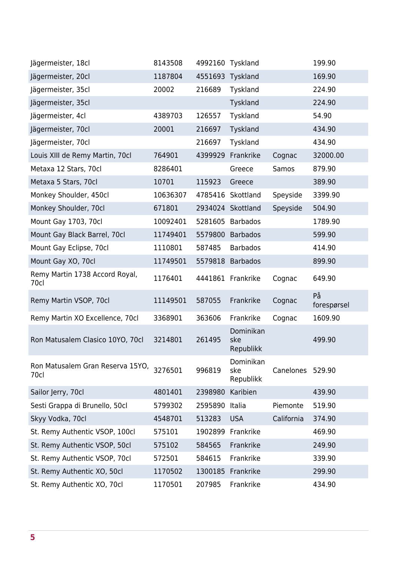| Jägermeister, 18cl                       | 8143508  | 4992160 Tyskland |                               |                  | 199.90            |
|------------------------------------------|----------|------------------|-------------------------------|------------------|-------------------|
| Jägermeister, 20cl                       | 1187804  | 4551693          | Tyskland                      |                  | 169.90            |
| Jägermeister, 35cl                       | 20002    | 216689           | Tyskland                      |                  | 224.90            |
| Jägermeister, 35cl                       |          |                  | Tyskland                      |                  | 224.90            |
| Jägermeister, 4cl                        | 4389703  | 126557           | Tyskland                      |                  | 54.90             |
| Jägermeister, 70cl                       | 20001    | 216697           | Tyskland                      |                  | 434.90            |
| Jägermeister, 70cl                       |          | 216697           | Tyskland                      |                  | 434.90            |
| Louis XIII de Remy Martin, 70cl          | 764901   | 4399929          | Frankrike                     | Cognac           | 32000.00          |
| Metaxa 12 Stars, 70cl                    | 8286401  |                  | Greece                        | Samos            | 879.90            |
| Metaxa 5 Stars, 70cl                     | 10701    | 115923           | Greece                        |                  | 389.90            |
| Monkey Shoulder, 450cl                   | 10636307 | 4785416          | Skottland                     | Speyside         | 3399.90           |
| Monkey Shoulder, 70cl                    | 671801   |                  | 2934024 Skottland             | Speyside         | 504.90            |
| Mount Gay 1703, 70cl                     | 10092401 |                  | 5281605 Barbados              |                  | 1789.90           |
| Mount Gay Black Barrel, 70cl             | 11749401 | 5579800          | <b>Barbados</b>               |                  | 599.90            |
| Mount Gay Eclipse, 70cl                  | 1110801  | 587485           | <b>Barbados</b>               |                  | 414.90            |
| Mount Gay XO, 70cl                       | 11749501 |                  | 5579818 Barbados              |                  | 899.90            |
| Remy Martin 1738 Accord Royal,<br>70cl   | 1176401  |                  | 4441861 Frankrike             | Cognac           | 649.90            |
| Remy Martin VSOP, 70cl                   | 11149501 | 587055           | Frankrike                     | Cognac           | På<br>forespørsel |
| Remy Martin XO Excellence, 70cl          | 3368901  | 363606           | Frankrike                     | Cognac           | 1609.90           |
| Ron Matusalem Clasico 10YO, 70cl         | 3214801  | 261495           | Dominikan<br>ske<br>Republikk |                  | 499.90            |
| Ron Matusalem Gran Reserva 15YO,<br>70cl | 3276501  | 996819           | Dominikan<br>ske<br>Republikk | Canelones 529.90 |                   |
| Sailor Jerry, 70cl                       | 4801401  | 2398980          | Karibien                      |                  | 439.90            |
| Sesti Grappa di Brunello, 50cl           | 5799302  | 2595890          | Italia                        | Piemonte         | 519.90            |
| Skyy Vodka, 70cl                         | 4548701  | 513283           | <b>USA</b>                    | California       | 374.90            |
| St. Remy Authentic VSOP, 100cl           | 575101   | 1902899          | Frankrike                     |                  | 469.90            |
| St. Remy Authentic VSOP, 50cl            | 575102   | 584565           | Frankrike                     |                  | 249.90            |
| St. Remy Authentic VSOP, 70cl            | 572501   | 584615           | Frankrike                     |                  | 339.90            |
| St. Remy Authentic XO, 50cl              | 1170502  | 1300185          | Frankrike                     |                  | 299.90            |
| St. Remy Authentic XO, 70cl              | 1170501  | 207985           | Frankrike                     |                  | 434.90            |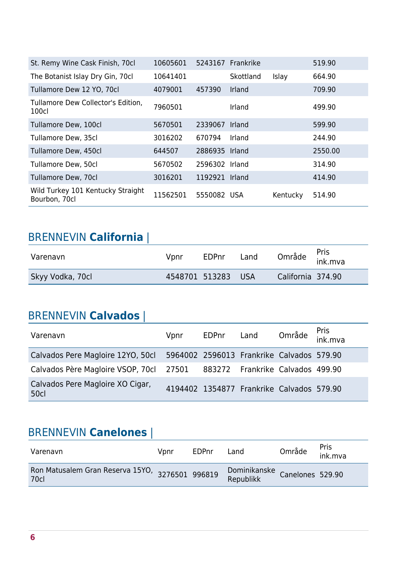| St. Remy Wine Cask Finish, 70cl                    | 10605601 |                | 5243167 Frankrike |          | 519.90  |
|----------------------------------------------------|----------|----------------|-------------------|----------|---------|
| The Botanist Islay Dry Gin, 70cl                   | 10641401 |                | Skottland         | Islay    | 664.90  |
| Tullamore Dew 12 YO, 70cl                          | 4079001  | 457390         | Irland            |          | 709.90  |
| Tullamore Dew Collector's Edition,<br>100cl        | 7960501  |                | Irland            |          | 499.90  |
| Tullamore Dew, 100cl                               | 5670501  | 2339067        | Irland            |          | 599.90  |
| Tullamore Dew, 35cl                                | 3016202  | 670794         | Irland            |          | 244.90  |
| Tullamore Dew, 450cl                               | 644507   | 2886935 Irland |                   |          | 2550.00 |
| Tullamore Dew, 50cl                                | 5670502  | 2596302 Irland |                   |          | 314.90  |
| Tullamore Dew, 70cl                                | 3016201  | 1192921        | <b>Irland</b>     |          | 414.90  |
| Wild Turkey 101 Kentucky Straight<br>Bourbon, 70cl | 11562501 | 5550082 USA    |                   | Kentucky | 514.90  |

| <b>BRENNEVIN California</b> |      |                    |      |                   |                 |
|-----------------------------|------|--------------------|------|-------------------|-----------------|
| Varenavn                    | Vpnr | EDPnr              | Land | Område            | Pris<br>ink.mva |
| Skyy Vodka, 70cl            |      | 4548701 513283 USA |      | California 374.90 |                 |

#### BRENNEVIN **Calvados** |

| Varenavn                                                                    | Vpnr | EDPnr Land |                                           | Område Pris<br>ink.mva |  |
|-----------------------------------------------------------------------------|------|------------|-------------------------------------------|------------------------|--|
| Calvados Pere Magloire 12YO, 50cl 5964002 2596013 Frankrike Calvados 579.90 |      |            |                                           |                        |  |
| Calvados Père Magloire VSOP, 70cl 27501 883272 Frankrike Calvados 499.90    |      |            |                                           |                        |  |
| Calvados Pere Magloire XO Cigar,<br><b>50cl</b>                             |      |            | 4194402 1354877 Frankrike Calvados 579.90 |                        |  |

#### BRENNEVIN **Canelones** |

| Varenavn                                                       | Vonr | EDPnr | Land                                       | Område | Pris<br>ink.mva |
|----------------------------------------------------------------|------|-------|--------------------------------------------|--------|-----------------|
| Ron Matusalem Gran Reserva 15YO, 3276501 996819<br><b>70cl</b> |      |       | Dominikanske<br>Republikk Canelones 529.90 |        |                 |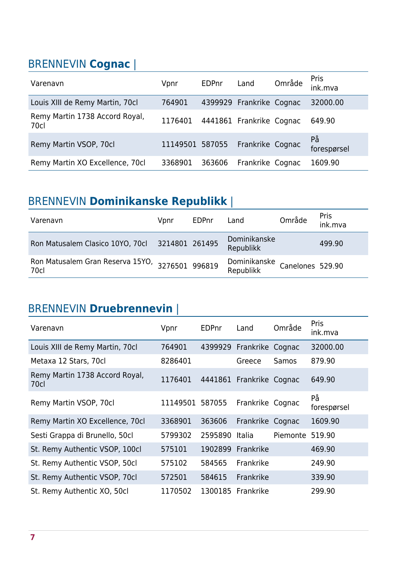### BRENNEVIN **Cognac** |

| Varenavn                               | Vpnr            | <b>EDPnr</b> | Land                     | Område | <b>Pris</b><br>ink.mva |
|----------------------------------------|-----------------|--------------|--------------------------|--------|------------------------|
| Louis XIII de Remy Martin, 70cl        | 764901          |              | 4399929 Frankrike Cognac |        | 32000.00               |
| Remy Martin 1738 Accord Royal,<br>70cl | 1176401         |              | 4441861 Frankrike Cognac |        | 649.90                 |
| Remy Martin VSOP, 70cl                 | 11149501 587055 |              | Frankrike Cognac         |        | På<br>forespørsel      |
| Remy Martin XO Excellence, 70cl        | 3368901         | 363606       | Frankrike Cognac         |        | 1609.90                |

### BRENNEVIN **Dominikanske Republikk** |

| Varenavn                                                | Vpnr | <b>EDPnr</b> | Land                      | Område           | Pris<br>ink.mva |
|---------------------------------------------------------|------|--------------|---------------------------|------------------|-----------------|
| Ron Matusalem Clasico 10YO, 70cl 3214801 261495         |      |              | Dominikanske<br>Republikk |                  | 499.90          |
| Ron Matusalem Gran Reserva 15YO, 3276501 996819<br>70cl |      |              | Dominikanske<br>Republikk | Canelones 529.90 |                 |

## BRENNEVIN **Druebrennevin** |

| Varenavn                               | Vpnr     | <b>EDPnr</b> | Land                     | Område   | <b>Pris</b><br>ink.mva |
|----------------------------------------|----------|--------------|--------------------------|----------|------------------------|
| Louis XIII de Remy Martin, 70cl        | 764901   |              | 4399929 Frankrike Cognac |          | 32000.00               |
| Metaxa 12 Stars, 70cl                  | 8286401  |              | Greece                   | Samos    | 879.90                 |
| Remy Martin 1738 Accord Royal,<br>70cl | 1176401  |              | 4441861 Frankrike Cognac |          | 649.90                 |
| Remy Martin VSOP, 70cl                 | 11149501 | 587055       | Frankrike Cognac         |          | På<br>forespørsel      |
| Remy Martin XO Excellence, 70cl        | 3368901  | 363606       | Frankrike Cognac         |          | 1609.90                |
| Sesti Grappa di Brunello, 50cl         | 5799302  | 2595890      | <b>Italia</b>            | Piemonte | 519.90                 |
| St. Remy Authentic VSOP, 100cl         | 575101   | 1902899      | Frankrike                |          | 469.90                 |
| St. Remy Authentic VSOP, 50cl          | 575102   | 584565       | Frankrike                |          | 249.90                 |
| St. Remy Authentic VSOP, 70cl          | 572501   | 584615       | Frankrike                |          | 339.90                 |
| St. Remy Authentic XO, 50cl            | 1170502  | 1300185      | Frankrike                |          | 299.90                 |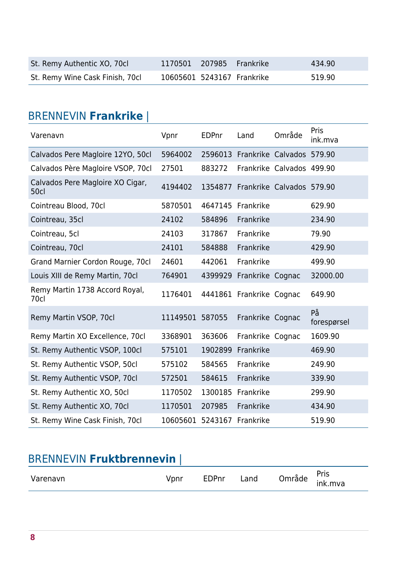| St. Remy Authentic XO, 70cl     | 1170501 207985 Frankrike   |  | 434.90 |
|---------------------------------|----------------------------|--|--------|
| St. Remy Wine Cask Finish, 70cl | 10605601 5243167 Frankrike |  | 519.90 |

### BRENNEVIN **Frankrike** |

| Varenavn                                 | Vpnr            | <b>EDPnr</b> | Land                              | Område                    | Pris<br>ink.mva   |
|------------------------------------------|-----------------|--------------|-----------------------------------|---------------------------|-------------------|
| Calvados Pere Magloire 12YO, 50cl        | 5964002         |              | 2596013 Frankrike Calvados 579.90 |                           |                   |
| Calvados Père Magloire VSOP, 70cl        | 27501           | 883272       |                                   | Frankrike Calvados 499.90 |                   |
| Calvados Pere Magloire XO Cigar,<br>50cl | 4194402         | 1354877      | Frankrike Calvados 579.90         |                           |                   |
| Cointreau Blood, 70cl                    | 5870501         | 4647145      | Frankrike                         |                           | 629.90            |
| Cointreau, 35cl                          | 24102           | 584896       | Frankrike                         |                           | 234.90            |
| Cointreau, 5cl                           | 24103           | 317867       | Frankrike                         |                           | 79.90             |
| Cointreau, 70cl                          | 24101           | 584888       | Frankrike                         |                           | 429.90            |
| Grand Marnier Cordon Rouge, 70cl         | 24601           | 442061       | Frankrike                         |                           | 499.90            |
| Louis XIII de Remy Martin, 70cl          | 764901          | 4399929      | Frankrike Cognac                  |                           | 32000.00          |
| Remy Martin 1738 Accord Royal,<br>70cl   | 1176401         |              | 4441861 Frankrike Cognac          |                           | 649.90            |
| Remy Martin VSOP, 70cl                   | 11149501 587055 |              | Frankrike Cognac                  |                           | På<br>forespørsel |
| Remy Martin XO Excellence, 70cl          | 3368901         | 363606       | Frankrike Cognac                  |                           | 1609.90           |
| St. Remy Authentic VSOP, 100cl           | 575101          | 1902899      | Frankrike                         |                           | 469.90            |
| St. Remy Authentic VSOP, 50cl            | 575102          | 584565       | Frankrike                         |                           | 249.90            |
| St. Remy Authentic VSOP, 70cl            | 572501          | 584615       | Frankrike                         |                           | 339.90            |
| St. Remy Authentic XO, 50cl              | 1170502         | 1300185      | Frankrike                         |                           | 299.90            |
| St. Remy Authentic XO, 70cl              | 1170501         | 207985       | Frankrike                         |                           | 434.90            |
| St. Remy Wine Cask Finish, 70cl          | 10605601        | 5243167      | Frankrike                         |                           | 519.90            |

### BRENNEVIN **Fruktbrennevin** |

| Varenavn | √pnr | EDPnr | ∟and | ∩mråde | Pris<br>ink.mva |
|----------|------|-------|------|--------|-----------------|
|          |      |       |      |        |                 |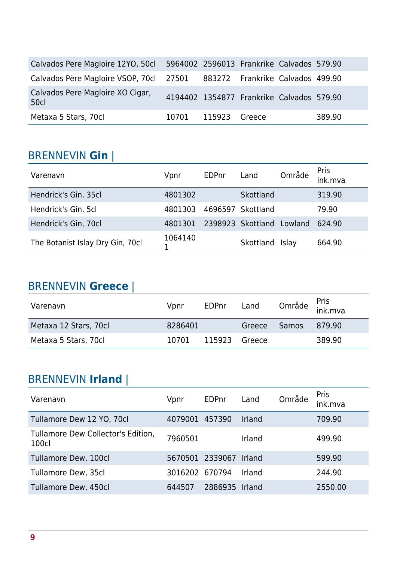| Calvados Pere Magloire 12YO, 50cl 5964002 2596013 Frankrike Calvados 579.90 |                     |                                           |        |
|-----------------------------------------------------------------------------|---------------------|-------------------------------------------|--------|
| Calvados Père Magloire VSOP, 70cl 27501 883272 Frankrike Calvados 499.90    |                     |                                           |        |
| Calvados Pere Magloire XO Cigar,<br>50c                                     |                     | 4194402 1354877 Frankrike Calvados 579.90 |        |
| Metaxa 5 Stars, 70cl                                                        | 10701 115923 Greece |                                           | 389.90 |

#### BRENNEVIN **Gin** |

| Varenavn                         | Vpnr    | EDPnr   | Land              | Område  | Pris<br>ink.mva |
|----------------------------------|---------|---------|-------------------|---------|-----------------|
| Hendrick's Gin, 35cl             | 4801302 |         | Skottland         |         | 319.90          |
| Hendrick's Gin, 5cl              | 4801303 | 4696597 | Skottland         |         | 79.90           |
| Hendrick's Gin, 70cl             | 4801301 |         | 2398923 Skottland | Lowland | 624.90          |
| The Botanist Islay Dry Gin, 70cl | 1064140 |         | Skottland         | Islay   | 664.90          |

#### BRENNEVIN **Greece** |

| Varenavn              | Vpnr    | <b>EDPnr</b> | Land   |              | Område <sup>Pris</sup><br>ink.mva |
|-----------------------|---------|--------------|--------|--------------|-----------------------------------|
| Metaxa 12 Stars, 70cl | 8286401 |              | Greece | <b>Samos</b> | 879.90                            |
| Metaxa 5 Stars, 70cl  | 10701   | 115923       | Greece |              | 389.90                            |

### BRENNEVIN **Irland** |

| Varenavn                                    | Vpnr           | EDPnr           | Land   | Område | Pris<br>ink.mva |
|---------------------------------------------|----------------|-----------------|--------|--------|-----------------|
| Tullamore Dew 12 YO, 70cl                   | 4079001        | 457390          | Irland |        | 709.90          |
| Tullamore Dew Collector's Edition,<br>100cl | 7960501        |                 | Irland |        | 499.90          |
| Tullamore Dew, 100cl                        |                | 5670501 2339067 | Irland |        | 599.90          |
| Tullamore Dew, 35cl                         | 3016202 670794 |                 | Irland |        | 244.90          |
| Tullamore Dew, 450cl                        | 644507         | 2886935         | Irland |        | 2550.00         |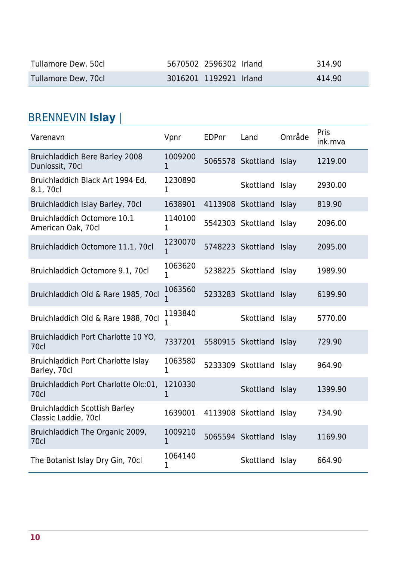| Tullamore Dew, 50cl | 5670502 2596302 Irland | 314.90 |
|---------------------|------------------------|--------|
| Tullamore Dew, 70cl | 3016201 1192921 Irland | 414.90 |

## BRENNEVIN **Islay** |

| Varenavn                                                     | Vpnr                    | <b>EDPnr</b> | Land                    | Område       | Pris<br>ink.mva |
|--------------------------------------------------------------|-------------------------|--------------|-------------------------|--------------|-----------------|
| <b>Bruichladdich Bere Barley 2008</b><br>Dunlossit, 70cl     | 1009200<br>1            |              | 5065578 Skottland Islay |              | 1219.00         |
| Bruichladdich Black Art 1994 Ed.<br>8.1, 70cl                | 1230890<br>1            |              | Skottland Islay         |              | 2930.00         |
| Bruichladdich Islay Barley, 70cl                             | 1638901                 |              | 4113908 Skottland       | <b>Islay</b> | 819.90          |
| Bruichladdich Octomore 10.1<br>American Oak, 70cl            | 1140100<br>1            |              | 5542303 Skottland Islay |              | 2096.00         |
| Bruichladdich Octomore 11.1, 70cl                            | 1230070<br>1            |              | 5748223 Skottland       | Islay        | 2095.00         |
| Bruichladdich Octomore 9.1, 70cl                             | 1063620<br>1            |              | 5238225 Skottland Islay |              | 1989.90         |
| Bruichladdich Old & Rare 1985, 70cl                          | 1063560<br>1            |              | 5233283 Skottland       | Islay        | 6199.90         |
| Bruichladdich Old & Rare 1988, 70cl                          | 1193840<br>1            |              | Skottland Islay         |              | 5770.00         |
| Bruichladdich Port Charlotte 10 YO,<br>70cl                  | 7337201                 |              | 5580915 Skottland Islay |              | 729.90          |
| Bruichladdich Port Charlotte Islay<br>Barley, 70cl           | 1063580<br>$\mathbf{1}$ |              | 5233309 Skottland Islay |              | 964.90          |
| Bruichladdich Port Charlotte Olc:01,<br>70cl                 | 1210330<br>1            |              | Skottland Islay         |              | 1399.90         |
| <b>Bruichladdich Scottish Barley</b><br>Classic Laddie, 70cl | 1639001                 |              | 4113908 Skottland       | Islay        | 734.90          |
| Bruichladdich The Organic 2009,<br><b>70cl</b>               | 1009210<br>1            |              | 5065594 Skottland Islay |              | 1169.90         |
| The Botanist Islay Dry Gin, 70cl                             | 1064140<br>1            |              | Skottland Islay         |              | 664.90          |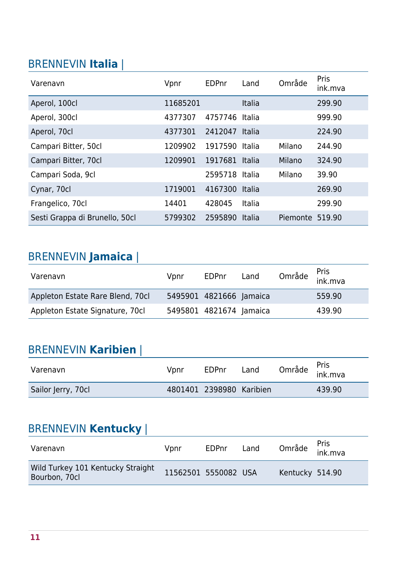### BRENNEVIN **Italia** |

| Varenavn                       | Vpnr     | EDPnr          | Land          | Område          | <b>Pris</b><br>ink.mva |
|--------------------------------|----------|----------------|---------------|-----------------|------------------------|
| Aperol, 100cl                  | 11685201 |                | <b>Italia</b> |                 | 299.90                 |
| Aperol, 300cl                  | 4377307  | 4757746        | Italia        |                 | 999.90                 |
| Aperol, 70cl                   | 4377301  | 2412047        | Italia        |                 | 224.90                 |
| Campari Bitter, 50cl           | 1209902  | 1917590        | Italia        | Milano          | 244.90                 |
| Campari Bitter, 70cl           | 1209901  | 1917681        | Italia        | Milano          | 324.90                 |
| Campari Soda, 9cl              |          | 2595718 Italia |               | Milano          | 39.90                  |
| Cynar, 70cl                    | 1719001  | 4167300        | Italia        |                 | 269.90                 |
| Frangelico, 70cl               | 14401    | 428045         | Italia        |                 | 299.90                 |
| Sesti Grappa di Brunello, 50cl | 5799302  | 2595890        | Italia        | Piemonte 519.90 |                        |

#### BRENNEVIN **Jamaica** |

| Varenavn                         | Vpnr | EDPnr                   | Land | Område <sup>Pris</sup><br>ink.mva |
|----------------------------------|------|-------------------------|------|-----------------------------------|
| Appleton Estate Rare Blend, 70cl |      | 5495901 4821666 Jamaica |      | 559.90                            |
| Appleton Estate Signature, 70cl  |      | 5495801 4821674 Jamaica |      | 439.90                            |

#### BRENNEVIN **Karibien** |

| Varenavn           | Vpnr | EDPnr                    | Land | Område <sup>Pris</sup><br>ink.mva |        |
|--------------------|------|--------------------------|------|-----------------------------------|--------|
| Sailor Jerry, 70cl |      | 4801401 2398980 Karibien |      |                                   | 439.90 |

#### BRENNEVIN **Kentucky** |

| Varenavn                                           | Vpnr                 | EDPnr | Land | Område <sup>Pris</sup><br>ink.mva |  |
|----------------------------------------------------|----------------------|-------|------|-----------------------------------|--|
| Wild Turkey 101 Kentucky Straight<br>Bourbon, 70cl | 11562501 5550082 USA |       |      | Kentucky 514.90                   |  |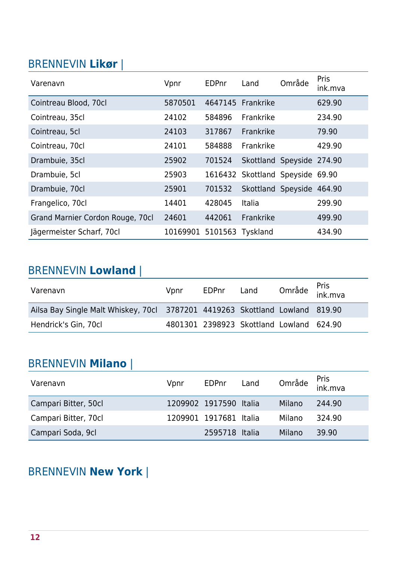#### BRENNEVIN **Likør** |

| Varenavn                         | Vpnr     | EDPnr   | Land                      | Område | <b>Pris</b><br>ink.mva |
|----------------------------------|----------|---------|---------------------------|--------|------------------------|
| Cointreau Blood, 70cl            | 5870501  | 4647145 | Frankrike                 |        | 629.90                 |
| Cointreau, 35cl                  | 24102    | 584896  | Frankrike                 |        | 234.90                 |
| Cointreau, 5cl                   | 24103    | 317867  | Frankrike                 |        | 79.90                  |
| Cointreau, 70cl                  | 24101    | 584888  | Frankrike                 |        | 429.90                 |
| Drambuie, 35cl                   | 25902    | 701524  | Skottland Speyside 274.90 |        |                        |
| Drambuie, 5cl                    | 25903    | 1616432 | Skottland Speyside 69.90  |        |                        |
| Drambuie, 70cl                   | 25901    | 701532  | Skottland Speyside 464.90 |        |                        |
| Frangelico, 70cl                 | 14401    | 428045  | Italia                    |        | 299.90                 |
| Grand Marnier Cordon Rouge, 70cl | 24601    | 442061  | Frankrike                 |        | 499.90                 |
| Jägermeister Scharf, 70cl        | 10169901 | 5101563 | Tyskland                  |        | 434.90                 |

# BRENNEVIN **Lowland** |

| Varenavn                                                                     | Vpnr | EDPnr | Land                                     | Område <sup>Pris</sup><br>ink.mva |
|------------------------------------------------------------------------------|------|-------|------------------------------------------|-----------------------------------|
| Ailsa Bay Single Malt Whiskey, 70cl 3787201 4419263 Skottland Lowland 819.90 |      |       |                                          |                                   |
| Hendrick's Gin, 70cl                                                         |      |       | 4801301 2398923 Skottland Lowland 624.90 |                                   |

#### BRENNEVIN **Milano** |

| Varenavn             | Vpnr | EDPnr                  | Land |        | Område <sup>Pris</sup><br>ink.mva |
|----------------------|------|------------------------|------|--------|-----------------------------------|
| Campari Bitter, 50cl |      | 1209902 1917590 Italia |      | Milano | 244.90                            |
| Campari Bitter, 70cl |      | 1209901 1917681 Italia |      | Milano | 324.90                            |
| Campari Soda, 9cl    |      | 2595718 Italia         |      | Milano | 39.90                             |

### BRENNEVIN **New York** |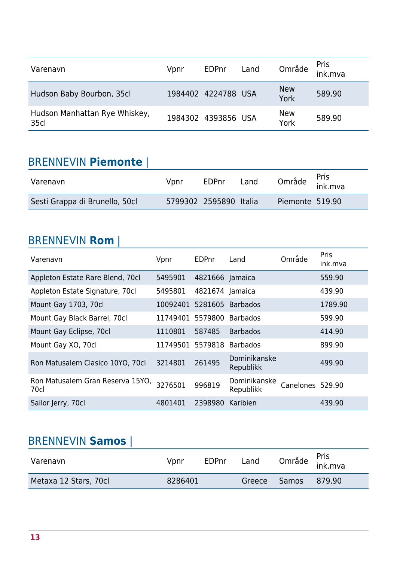| Varenavn                              | Vpnr | <b>EDPnr</b>        | Land | Område             | Pris<br>ink.mva |
|---------------------------------------|------|---------------------|------|--------------------|-----------------|
| Hudson Baby Bourbon, 35cl             |      | 1984402 4224788 USA |      | <b>New</b><br>York | 589.90          |
| Hudson Manhattan Rye Whiskey,<br>35cl |      | 1984302 4393856 USA |      | <b>New</b><br>York | 589.90          |

#### BRENNEVIN **Piemonte** |

| Varenavn                       | Vpnr | EDPnr                  | Land |                 | Pris<br>, Område ink.mva |
|--------------------------------|------|------------------------|------|-----------------|--------------------------|
| Sesti Grappa di Brunello, 50cl |      | 5799302 2595890 Italia |      | Piemonte 519.90 |                          |

#### BRENNEVIN **Rom** |

| Varenavn                                 | Vpnr             | <b>EDPnr</b>    | Land                      | Område           | Pris<br>ink.mva |
|------------------------------------------|------------------|-----------------|---------------------------|------------------|-----------------|
| Appleton Estate Rare Blend, 70cl         | 5495901          | 4821666 Jamaica |                           |                  | 559.90          |
| Appleton Estate Signature, 70cl          | 5495801          | 4821674 Jamaica |                           |                  | 439.90          |
| Mount Gay 1703, 70cl                     | 10092401         | 5281605         | <b>Barbados</b>           |                  | 1789.90         |
| Mount Gay Black Barrel, 70cl             | 11749401 5579800 |                 | <b>Barbados</b>           |                  | 599.90          |
| Mount Gay Eclipse, 70cl                  | 1110801          | 587485          | <b>Barbados</b>           |                  | 414.90          |
| Mount Gay XO, 70cl                       | 11749501 5579818 |                 | <b>Barbados</b>           |                  | 899.90          |
| Ron Matusalem Clasico 10YO, 70cl         | 3214801          | 261495          | Dominikanske<br>Republikk |                  | 499.90          |
| Ron Matusalem Gran Reserva 15YO,<br>70cl | 3276501          | 996819          | Dominikanske<br>Republikk | Canelones 529.90 |                 |
| Sailor Jerry, 70cl                       | 4801401          | 2398980         | Karibien                  |                  | 439.90          |

#### BRENNEVIN **Samos** |

| Varenavn              | Vpnr    | <b>EDPnr</b> | Land   | Område <sup>Pris</sup><br>ink.mva |        |
|-----------------------|---------|--------------|--------|-----------------------------------|--------|
| Metaxa 12 Stars, 70cl | 8286401 |              | Greece | Samos                             | 879.90 |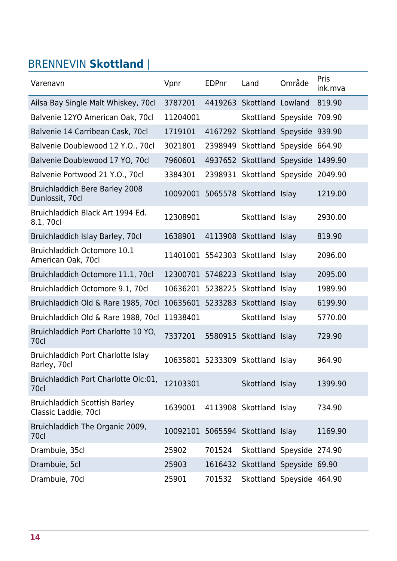## BRENNEVIN **Skottland** |

| Varenavn                                                     | Vpnr                             | <b>EDPnr</b> | Land                               | Område | Pris<br>ink.mva |
|--------------------------------------------------------------|----------------------------------|--------------|------------------------------------|--------|-----------------|
| Ailsa Bay Single Malt Whiskey, 70cl                          | 3787201                          |              | 4419263 Skottland Lowland          |        | 819.90          |
| Balvenie 12YO American Oak, 70cl                             | 11204001                         |              | Skottland Speyside 709.90          |        |                 |
| Balvenie 14 Carribean Cask, 70cl                             | 1719101                          |              | 4167292 Skottland Speyside         |        | 939.90          |
| Balvenie Doublewood 12 Y.O., 70cl                            | 3021801                          |              | 2398949 Skottland Speyside         |        | 664.90          |
| Balvenie Doublewood 17 YO, 70cl                              | 7960601                          |              | 4937652 Skottland Speyside         |        | 1499.90         |
| Balvenie Portwood 21 Y.O., 70cl                              | 3384301                          |              | 2398931 Skottland Speyside 2049.90 |        |                 |
| <b>Bruichladdich Bere Barley 2008</b><br>Dunlossit, 70cl     | 10092001 5065578 Skottland Islay |              |                                    |        | 1219.00         |
| Bruichladdich Black Art 1994 Ed.<br>8.1, 70cl                | 12308901                         |              | Skottland Islay                    |        | 2930.00         |
| Bruichladdich Islay Barley, 70cl                             | 1638901                          |              | 4113908 Skottland Islay            |        | 819.90          |
| Bruichladdich Octomore 10.1<br>American Oak, 70cl            |                                  |              | 11401001 5542303 Skottland Islay   |        | 2096.00         |
| Bruichladdich Octomore 11.1, 70cl                            | 12300701 5748223 Skottland Islay |              |                                    |        | 2095.00         |
| Bruichladdich Octomore 9.1, 70cl                             | 10636201                         |              | 5238225 Skottland Islay            |        | 1989.90         |
| Bruichladdich Old & Rare 1985, 70cl                          | 10635601 5233283 Skottland Islay |              |                                    |        | 6199.90         |
| Bruichladdich Old & Rare 1988, 70cl                          | 11938401                         |              | Skottland Islay                    |        | 5770.00         |
| Bruichladdich Port Charlotte 10 YO,<br>70cl                  | 7337201                          |              | 5580915 Skottland Islay            |        | 729.90          |
| Bruichladdich Port Charlotte Islay<br>Barley, 70cl           | 10635801 5233309 Skottland Islay |              |                                    |        | 964.90          |
| Bruichladdich Port Charlotte Olc:01,<br>70cl                 | 12103301                         |              | Skottland Islay                    |        | 1399.90         |
| <b>Bruichladdich Scottish Barley</b><br>Classic Laddie, 70cl | 1639001                          |              | 4113908 Skottland Islay            |        | 734.90          |
| Bruichladdich The Organic 2009,<br>70cl                      | 10092101 5065594 Skottland Islay |              |                                    |        | 1169.90         |
| Drambuie, 35cl                                               | 25902                            | 701524       | Skottland Speyside 274.90          |        |                 |
| Drambuie, 5cl                                                | 25903                            | 1616432      | Skottland Speyside 69.90           |        |                 |
| Drambuie, 70cl                                               | 25901                            | 701532       | Skottland Speyside 464.90          |        |                 |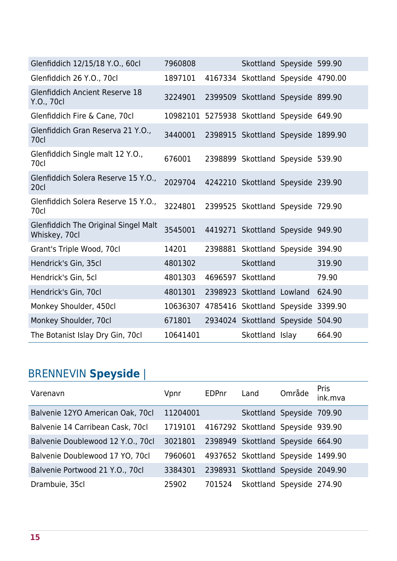| Glenfiddich 12/15/18 Y.O., 60cl                              | 7960808                                    |         | Skottland Speyside 599.90          |        |
|--------------------------------------------------------------|--------------------------------------------|---------|------------------------------------|--------|
| Glenfiddich 26 Y.O., 70cl                                    | 1897101                                    |         | 4167334 Skottland Speyside 4790.00 |        |
| <b>Glenfiddich Ancient Reserve 18</b><br>Y.O., 70cl          | 3224901                                    |         | 2399509 Skottland Speyside 899.90  |        |
| Glenfiddich Fire & Cane, 70cl                                | 10982101 5275938 Skottland Speyside 649.90 |         |                                    |        |
| Glenfiddich Gran Reserva 21 Y.O.,<br>70c                     | 3440001                                    |         | 2398915 Skottland Speyside 1899.90 |        |
| Glenfiddich Single malt 12 Y.O.,<br>70cl                     | 676001                                     |         | 2398899 Skottland Speyside 539.90  |        |
| Glenfiddich Solera Reserve 15 Y.O.,<br>20cl                  | 2029704                                    |         | 4242210 Skottland Speyside 239.90  |        |
| Glenfiddich Solera Reserve 15 Y.O.,<br>70cl                  | 3224801                                    |         | 2399525 Skottland Speyside 729.90  |        |
| <b>Glenfiddich The Original Singel Malt</b><br>Whiskey, 70cl | 3545001                                    |         | 4419271 Skottland Speyside 949.90  |        |
| Grant's Triple Wood, 70cl                                    | 14201                                      |         | 2398881 Skottland Speyside 394.90  |        |
| Hendrick's Gin, 35cl                                         | 4801302                                    |         | <b>Skottland</b>                   | 319.90 |
| Hendrick's Gin, 5cl                                          | 4801303                                    | 4696597 | Skottland                          | 79.90  |
| Hendrick's Gin, 70cl                                         | 4801301                                    |         | 2398923 Skottland Lowland          | 624.90 |
| Monkey Shoulder, 450cl                                       | 10636307                                   |         | 4785416 Skottland Speyside 3399.90 |        |
| Monkey Shoulder, 70cl                                        | 671801                                     |         | 2934024 Skottland Speyside         | 504.90 |
| The Botanist Islay Dry Gin, 70cl                             | 10641401                                   |         | Skottland Islay                    | 664.90 |

# BRENNEVIN **Speyside** |

| Varenavn                          | Vpnr     | EDPnr  | Land                               | Område | Pris<br>ink.mva |
|-----------------------------------|----------|--------|------------------------------------|--------|-----------------|
| Balvenie 12YO American Oak, 70cl  | 11204001 |        | Skottland Speyside 709.90          |        |                 |
| Balvenie 14 Carribean Cask, 70cl  | 1719101  |        | 4167292 Skottland Speyside 939.90  |        |                 |
| Balvenie Doublewood 12 Y.O., 70cl | 3021801  |        | 2398949 Skottland Speyside 664.90  |        |                 |
| Balvenie Doublewood 17 YO, 70cl   | 7960601  |        | 4937652 Skottland Speyside 1499.90 |        |                 |
| Balvenie Portwood 21 Y.O., 70cl   | 3384301  |        | 2398931 Skottland Speyside 2049.90 |        |                 |
| Drambuie, 35cl                    | 25902    | 701524 | Skottland Speyside 274.90          |        |                 |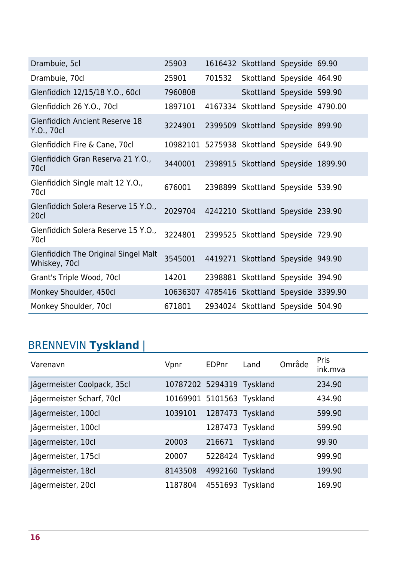| Drambuie, 5cl                                         | 25903                                       |        | 1616432 Skottland Speyside 69.90   |  |
|-------------------------------------------------------|---------------------------------------------|--------|------------------------------------|--|
| Drambuie, 70cl                                        | 25901                                       | 701532 | Skottland Speyside 464.90          |  |
| Glenfiddich 12/15/18 Y.O., 60cl                       | 7960808                                     |        | Skottland Speyside 599.90          |  |
| Glenfiddich 26 Y.O., 70cl                             | 1897101                                     |        | 4167334 Skottland Speyside 4790.00 |  |
| <b>Glenfiddich Ancient Reserve 18</b><br>Y.O., 70cl   | 3224901                                     |        | 2399509 Skottland Speyside 899.90  |  |
| Glenfiddich Fire & Cane, 70cl                         | 10982101 5275938 Skottland Speyside 649.90  |        |                                    |  |
| Glenfiddich Gran Reserva 21 Y.O.,<br>70cl             | 3440001                                     |        | 2398915 Skottland Speyside 1899.90 |  |
| Glenfiddich Single malt 12 Y.O.,<br>70cl              | 676001                                      |        | 2398899 Skottland Speyside 539.90  |  |
| Glenfiddich Solera Reserve 15 Y.O.,<br>20cl           | 2029704                                     |        | 4242210 Skottland Speyside 239.90  |  |
| Glenfiddich Solera Reserve 15 Y.O.,<br>70cl           | 3224801                                     |        | 2399525 Skottland Speyside 729.90  |  |
| Glenfiddich The Original Singel Malt<br>Whiskey, 70cl | 3545001                                     |        | 4419271 Skottland Speyside 949.90  |  |
| Grant's Triple Wood, 70cl                             | 14201                                       |        | 2398881 Skottland Speyside 394.90  |  |
| Monkey Shoulder, 450cl                                | 10636307 4785416 Skottland Speyside 3399.90 |        |                                    |  |
| Monkey Shoulder, 70cl                                 | 671801                                      |        | 2934024 Skottland Speyside 504.90  |  |

# BRENNEVIN **Tyskland** |

| Varenavn                    | Vpnr                      | EDPnr            | Land             | Område | Pris<br>ink.mva |
|-----------------------------|---------------------------|------------------|------------------|--------|-----------------|
| Jägermeister Coolpack, 35cl | 10787202 5294319 Tyskland |                  |                  |        | 234.90          |
| Jägermeister Scharf, 70cl   | 10169901 5101563 Tyskland |                  |                  |        | 434.90          |
| Jägermeister, 100cl         | 1039101                   | 1287473 Tyskland |                  |        | 599.90          |
| Jägermeister, 100cl         |                           |                  | 1287473 Tyskland |        | 599.90          |
| Jägermeister, 10cl          | 20003                     | 216671           | Tyskland         |        | 99.90           |
| Jägermeister, 175cl         | 20007                     |                  | 5228424 Tyskland |        | 999.90          |
| Jägermeister, 18cl          | 8143508                   | 4992160 Tyskland |                  |        | 199.90          |
| Jägermeister, 20cl          | 1187804                   | 4551693 Tyskland |                  |        | 169.90          |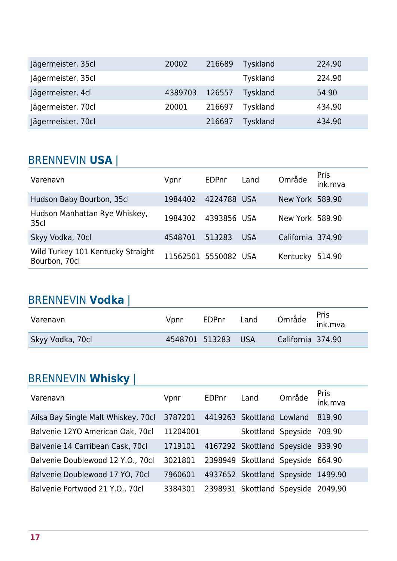| Jägermeister, 35cl | 20002   | 216689 | <b>Tyskland</b> | 224.90 |
|--------------------|---------|--------|-----------------|--------|
| Jägermeister, 35cl |         |        | <b>Tyskland</b> | 224.90 |
| Jägermeister, 4cl  | 4389703 | 126557 | <b>Tyskland</b> | 54.90  |
| Jägermeister, 70cl | 20001   | 216697 | <b>Tyskland</b> | 434.90 |
| Jägermeister, 70cl |         | 216697 | <b>Tyskland</b> | 434.90 |

#### BRENNEVIN **USA** |

| Varenavn                                           | Vpnr                 | EDPnr       | Land       | Område            | <b>Pris</b><br>ink.mva |
|----------------------------------------------------|----------------------|-------------|------------|-------------------|------------------------|
| Hudson Baby Bourbon, 35cl                          | 1984402              | 4224788 USA |            | New York 589.90   |                        |
| Hudson Manhattan Rye Whiskey,<br>35 <sub>cl</sub>  | 1984302              | 4393856 USA |            | New York 589.90   |                        |
| Skyy Vodka, 70cl                                   | 4548701              | 513283      | <b>USA</b> | California 374.90 |                        |
| Wild Turkey 101 Kentucky Straight<br>Bourbon, 70cl | 11562501 5550082 USA |             |            | Kentucky          | 514.90                 |

## BRENNEVIN **Vodka** |

| Varenavn         | Vpnr           | EDPnr | Land |                   | Område <sup>Pris</sup><br>ink.mva |
|------------------|----------------|-------|------|-------------------|-----------------------------------|
| Skyy Vodka, 70cl | 4548701 513283 |       | -USA | California 374.90 |                                   |

### BRENNEVIN **Whisky** |

| Varenavn                            | Vpnr     | EDPnr | Land                               | Område                    | <b>Pris</b><br>ink.mva |
|-------------------------------------|----------|-------|------------------------------------|---------------------------|------------------------|
| Ailsa Bay Single Malt Whiskey, 70cl | 3787201  |       | 4419263 Skottland Lowland          |                           | 819.90                 |
| Balvenie 12YO American Oak, 70cl    | 11204001 |       |                                    | Skottland Speyside 709.90 |                        |
| Balvenie 14 Carribean Cask, 70cl    | 1719101  |       | 4167292 Skottland Speyside 939.90  |                           |                        |
| Balvenie Doublewood 12 Y.O., 70cl   | 3021801  |       | 2398949 Skottland Speyside 664.90  |                           |                        |
| Balvenie Doublewood 17 YO, 70cl     | 7960601  |       | 4937652 Skottland Speyside 1499.90 |                           |                        |
| Balvenie Portwood 21 Y.O., 70cl     | 3384301  |       | 2398931 Skottland Speyside 2049.90 |                           |                        |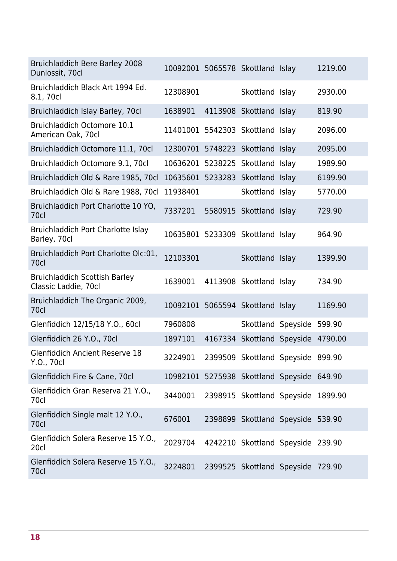| <b>Bruichladdich Bere Barley 2008</b><br>Dunlossit, 70cl     | 10092001 5065578 Skottland Islay           |         |                                    | 1219.00 |
|--------------------------------------------------------------|--------------------------------------------|---------|------------------------------------|---------|
| Bruichladdich Black Art 1994 Ed.<br>8.1, 70cl                | 12308901                                   |         | Skottland Islay                    | 2930.00 |
| Bruichladdich Islay Barley, 70cl                             | 1638901                                    |         | 4113908 Skottland Islay            | 819.90  |
| Bruichladdich Octomore 10.1<br>American Oak, 70cl            | 11401001 5542303 Skottland Islay           |         |                                    | 2096.00 |
| Bruichladdich Octomore 11.1, 70cl                            | 12300701 5748223 Skottland Islay           |         |                                    | 2095.00 |
| Bruichladdich Octomore 9.1, 70cl                             | 10636201 5238225                           |         | Skottland Islay                    | 1989.90 |
| Bruichladdich Old & Rare 1985, 70cl                          | 10635601 5233283 Skottland Islay           |         |                                    | 6199.90 |
| Bruichladdich Old & Rare 1988, 70cl                          | 11938401                                   |         | Skottland Islay                    | 5770.00 |
| Bruichladdich Port Charlotte 10 YO,<br>70cl                  | 7337201                                    | 5580915 | Skottland Islay                    | 729.90  |
| Bruichladdich Port Charlotte Islay<br>Barley, 70cl           | 10635801 5233309 Skottland Islay           |         |                                    | 964.90  |
| Bruichladdich Port Charlotte Olc:01,<br>70cl                 | 12103301                                   |         | Skottland Islay                    | 1399.90 |
| <b>Bruichladdich Scottish Barley</b><br>Classic Laddie, 70cl | 1639001                                    |         | 4113908 Skottland Islay            | 734.90  |
| Bruichladdich The Organic 2009,<br>70cl                      | 10092101 5065594 Skottland Islay           |         |                                    | 1169.90 |
| Glenfiddich 12/15/18 Y.O., 60cl                              | 7960808                                    |         | Skottland Speyside                 | 599.90  |
| Glenfiddich 26 Y.O., 70cl                                    | 1897101                                    |         | 4167334 Skottland Speyside         | 4790.00 |
| <b>Glenfiddich Ancient Reserve 18</b><br>Y.O., 70cl          | 3224901                                    |         | 2399509 Skottland Speyside 899.90  |         |
| Glenfiddich Fire & Cane, 70cl                                | 10982101 5275938 Skottland Speyside 649.90 |         |                                    |         |
| Glenfiddich Gran Reserva 21 Y.O.,<br>70cl                    | 3440001                                    |         | 2398915 Skottland Speyside 1899.90 |         |
| Glenfiddich Single malt 12 Y.O.,<br>70cl                     | 676001                                     |         | 2398899 Skottland Speyside 539.90  |         |
| Glenfiddich Solera Reserve 15 Y.O.,<br>20cl                  | 2029704                                    |         | 4242210 Skottland Speyside 239.90  |         |
| Glenfiddich Solera Reserve 15 Y.O.,<br>70cl                  | 3224801                                    |         | 2399525 Skottland Speyside 729.90  |         |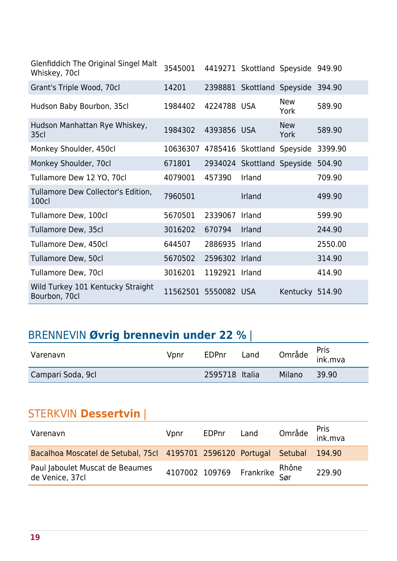| Glenfiddich The Original Singel Malt<br>Whiskey, 70cl | 3545001  |             | 4419271 Skottland Speyside 949.90   |                    |         |
|-------------------------------------------------------|----------|-------------|-------------------------------------|--------------------|---------|
| Grant's Triple Wood, 70cl                             | 14201    |             | 2398881 Skottland Speyside          |                    | 394.90  |
| Hudson Baby Bourbon, 35cl                             | 1984402  | 4224788 USA |                                     | <b>New</b><br>York | 589.90  |
| Hudson Manhattan Rye Whiskey,<br>35 <sub>cl</sub>     | 1984302  | 4393856 USA |                                     | <b>New</b><br>York | 589.90  |
| Monkey Shoulder, 450cl                                |          |             | 10636307 4785416 Skottland Speyside |                    | 3399.90 |
| Monkey Shoulder, 70cl                                 | 671801   |             | 2934024 Skottland Speyside          |                    | 504.90  |
| Tullamore Dew 12 YO, 70cl                             | 4079001  | 457390      | Irland                              |                    | 709.90  |
| Tullamore Dew Collector's Edition,<br>100cl           | 7960501  |             | Irland                              |                    | 499.90  |
| Tullamore Dew, 100cl                                  | 5670501  | 2339067     | Irland                              |                    | 599.90  |
| Tullamore Dew, 35cl                                   | 3016202  | 670794      | Irland                              |                    | 244.90  |
| Tullamore Dew, 450cl                                  | 644507   | 2886935     | Irland                              |                    | 2550.00 |
| Tullamore Dew, 50cl                                   | 5670502  | 2596302     | Irland                              |                    | 314.90  |
| Tullamore Dew, 70cl                                   | 3016201  | 1192921     | Irland                              |                    | 414.90  |
| Wild Turkey 101 Kentucky Straight<br>Bourbon, 70cl    | 11562501 | 5550082 USA |                                     | Kentucky 514.90    |         |

## BRENNEVIN **Øvrig brennevin under 22 %** |

| Varenavn          | Vpnr | EDPnr          | Land |        | Område <sup>Pris</sup><br>ink.mva |
|-------------------|------|----------------|------|--------|-----------------------------------|
| Campari Soda, 9cl |      | 2595718 Italia |      | Milano | 39.90                             |

#### STERKVIN **Dessertvin** |

| Varenavn                                                                   | Vpnr | EDPnr Land |                                | Område <sup>Pris</sup><br>ink.mva |
|----------------------------------------------------------------------------|------|------------|--------------------------------|-----------------------------------|
| Bacalhoa Moscatel de Setubal, 75cl 4195701 2596120 Portugal Setubal 194.90 |      |            |                                |                                   |
| Paul Jaboulet Muscat de Beaumes<br>de Venice, 37cl                         |      |            | 4107002 109769 Frankrike Rhône | 229.90                            |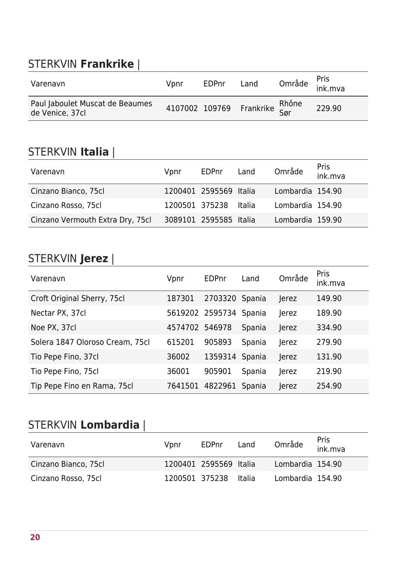### STERKVIN **Frankrike** |

| Varenavn                                           | Vpnr | <b>EDPnr</b> | Land                           | Område <sup>Pris</sup><br>ink.mva |        |
|----------------------------------------------------|------|--------------|--------------------------------|-----------------------------------|--------|
| Paul Jaboulet Muscat de Beaumes<br>de Venice, 37cl |      |              | 4107002 109769 Frankrike Rhône |                                   | 229.90 |

<u> 1980 - Johann Barn, mars an t-Amerikaansk komponister (</u>

#### STERKVIN **Italia** |

| STERKVIN <b>Italia</b>           |                |                        |        |                  |                 |
|----------------------------------|----------------|------------------------|--------|------------------|-----------------|
| Varenavn                         | Vpnr           | EDPnr                  | Land   | Område           | Pris<br>ink.mva |
| Cinzano Bianco, 75cl             |                | 1200401 2595569 Italia |        | Lombardia 154.90 |                 |
| Cinzano Rosso, 75cl              | 1200501 375238 |                        | Italia | Lombardia 154.90 |                 |
| Cinzano Vermouth Extra Dry, 75cl |                | 3089101 2595585 Italia |        | Lombardia 159.90 |                 |

#### STERKVIN **Jerez** |

| Varenavn                        | Vpnr           | <b>EDPnr</b>    | Land   | Område | <b>Pris</b><br>ink.mva |
|---------------------------------|----------------|-----------------|--------|--------|------------------------|
| Croft Original Sherry, 75cl     | 187301         | 2703320 Spania  |        | Jerez  | 149.90                 |
| Nectar PX, 37cl                 |                | 5619202 2595734 | Spania | Jerez  | 189.90                 |
| Noe PX, 37cl                    | 4574702 546978 |                 | Spania | Jerez  | 334.90                 |
| Solera 1847 Oloroso Cream, 75cl | 615201         | 905893          | Spania | Jerez  | 279.90                 |
| Tio Pepe Fino, 37cl             | 36002          | 1359314 Spania  |        | Jerez  | 131.90                 |
| Tio Pepe Fino, 75cl             | 36001          | 905901          | Spania | Jerez  | 219.90                 |
| Tip Pepe Fino en Rama, 75cl     | 7641501        | 4822961         | Spania | Jerez  | 254.90                 |

## STERKVIN **Lombardia** |

| Varenavn             | Vpnr | EDPnr                  | Land | Område           | <b>Pris</b><br>ink.mva |
|----------------------|------|------------------------|------|------------------|------------------------|
| Cinzano Bianco, 75cl |      | 1200401 2595569 Italia |      | Lombardia 154.90 |                        |
| Cinzano Rosso, 75cl  |      | 1200501 375238 Italia  |      | Lombardia 154.90 |                        |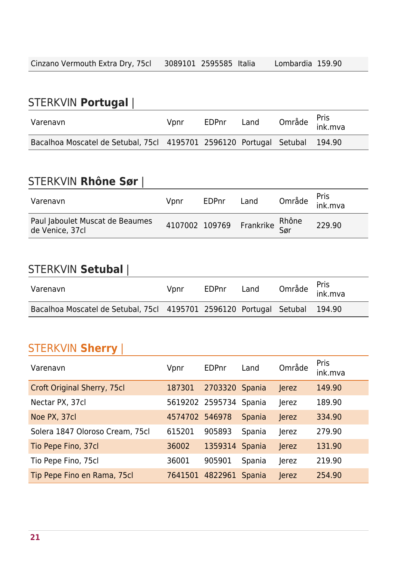## STERKVIN **Portugal** |

| Varenavn                                                                   | Vpnr | EDPnr | Land | Område <sup>Pris</sup><br>ink.mva |  |
|----------------------------------------------------------------------------|------|-------|------|-----------------------------------|--|
| Bacalhoa Moscatel de Setubal, 75cl 4195701 2596120 Portugal Setubal 194.90 |      |       |      |                                   |  |

#### STERKVIN **Rhône Sør** |

| Varenavn                                           | Vpnr | EDPnr | Land                           | Område <sup>Pris</sup><br>ink.mva |
|----------------------------------------------------|------|-------|--------------------------------|-----------------------------------|
| Paul Jaboulet Muscat de Beaumes<br>de Venice, 37cl |      |       | 4107002 109769 Frankrike Rhône | 229.90                            |

<u> 1980 - Johann Barbara, martxa alemaniar arg</u>

#### STERKVIN **Setubal** |

| Varenavn                                                                   | Vpnr | EDPnr | Land | Område <sup>Pris</sup><br>ink.mva |  |
|----------------------------------------------------------------------------|------|-------|------|-----------------------------------|--|
| Bacalhoa Moscatel de Setubal, 75cl 4195701 2596120 Portugal Setubal 194.90 |      |       |      |                                   |  |

#### STERKVIN **Sherry** |

| Varenavn                           | Vpnr           | <b>EDPnr</b>    | Land   | Område | Pris<br>ink.mva |
|------------------------------------|----------------|-----------------|--------|--------|-----------------|
| <b>Croft Original Sherry, 75cl</b> | 187301         | 2703320 Spania  |        | Jerez  | 149.90          |
| Nectar PX, 37cl                    |                | 5619202 2595734 | Spania | Jerez  | 189.90          |
| Noe PX, 37cl                       | 4574702 546978 |                 | Spania | Jerez  | 334.90          |
| Solera 1847 Oloroso Cream, 75cl    | 615201         | 905893          | Spania | Jerez  | 279.90          |
| Tio Pepe Fino, 37cl                | 36002          | 1359314         | Spania | Jerez  | 131.90          |
| Tio Pepe Fino, 75cl                | 36001          | 905901          | Spania | Jerez  | 219.90          |
| Tip Pepe Fino en Rama, 75cl        | 7641501        | 4822961         | Spania | Jerez  | 254.90          |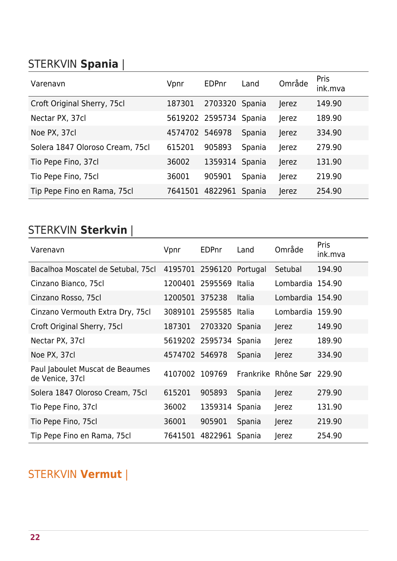### STERKVIN **Spania** |

| Varenavn                        | Vpnr           | EDPnr           | Land   | Område | <b>Pris</b><br>ink.mva |
|---------------------------------|----------------|-----------------|--------|--------|------------------------|
| Croft Original Sherry, 75cl     | 187301         | 2703320 Spania  |        | Jerez  | 149.90                 |
| Nectar PX, 37cl                 |                | 5619202 2595734 | Spania | Jerez  | 189.90                 |
| Noe PX, 37cl                    | 4574702 546978 |                 | Spania | Jerez  | 334.90                 |
| Solera 1847 Oloroso Cream, 75cl | 615201         | 905893          | Spania | Jerez  | 279.90                 |
| Tio Pepe Fino, 37cl             | 36002          | 1359314         | Spania | Jerez  | 131.90                 |
| Tio Pepe Fino, 75cl             | 36001          | 905901          | Spania | Jerez  | 219.90                 |
| Tip Pepe Fino en Rama, 75cl     | 7641501        | 4822961         | Spania | Jerez  | 254.90                 |

### STERKVIN **Sterkvin** |

| Varenavn                                           | Vpnr    | EDPnr   | Land          | Område                     | Pris<br>ink.mva |
|----------------------------------------------------|---------|---------|---------------|----------------------------|-----------------|
| Bacalhoa Moscatel de Setubal, 75cl                 | 4195701 | 2596120 | Portugal      | Setubal                    | 194.90          |
| Cinzano Bianco, 75cl                               | 1200401 | 2595569 | <b>Italia</b> | Lombardia 154.90           |                 |
| Cinzano Rosso, 75cl                                | 1200501 | 375238  | <b>Italia</b> | Lombardia 154.90           |                 |
| Cinzano Vermouth Extra Dry, 75cl                   | 3089101 | 2595585 | Italia        | Lombardia                  | 159.90          |
| Croft Original Sherry, 75cl                        | 187301  | 2703320 | Spania        | Jerez                      | 149.90          |
| Nectar PX, 37cl                                    | 5619202 | 2595734 | Spania        | Jerez                      | 189.90          |
| Noe PX, 37cl                                       | 4574702 | 546978  | Spania        | Jerez                      | 334.90          |
| Paul Jaboulet Muscat de Beaumes<br>de Venice, 37cl | 4107002 | 109769  |               | Frankrike Rhône Sør 229.90 |                 |
| Solera 1847 Oloroso Cream, 75cl                    | 615201  | 905893  | Spania        | Jerez                      | 279.90          |
| Tio Pepe Fino, 37cl                                | 36002   | 1359314 | Spania        | Jerez                      | 131.90          |
| Tio Pepe Fino, 75cl                                | 36001   | 905901  | Spania        | Jerez                      | 219.90          |
| Tip Pepe Fino en Rama, 75cl                        | 7641501 | 4822961 | Spania        | Jerez                      | 254.90          |

### STERKVIN **Vermut** |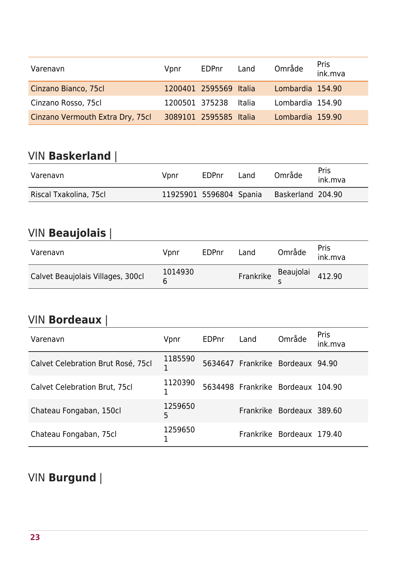| Varenavn                         | Vpnr | EDPnr                  | Land | Område           | <b>Pris</b><br>$ink_m$ |
|----------------------------------|------|------------------------|------|------------------|------------------------|
| Cinzano Bianco, 75cl             |      | 1200401 2595569 Italia |      | Lombardia 154.90 |                        |
| Cinzano Rosso, 75cl              |      | 1200501 375238 Italia  |      | Lombardia 154.90 |                        |
| Cinzano Vermouth Extra Dry, 75cl |      | 3089101 2595585 Italia |      | Lombardia 159.90 |                        |

#### VIN **Baskerland** |

| Varenavn               | Vpnr                    | EDPnr | Land | Område            | Pris<br>ink.mva |
|------------------------|-------------------------|-------|------|-------------------|-----------------|
| Riscal Txakolina, 75cl | 11925901 5596804 Spania |       |      | Baskerland 204.90 |                 |

### VIN **Beaujolais** |

| Varenavn                          | Vpnr    | <b>EDPnr</b> | Land                | Område | Pris<br>ink.mva |
|-----------------------------------|---------|--------------|---------------------|--------|-----------------|
| Calvet Beaujolais Villages, 300cl | 1014930 |              | Frankrike Beaujolai |        | 412.90          |

### VIN **Bordeaux** |

| Varenavn                             | Vpnr          | EDPnr | Land | Område                            | <b>Pris</b><br>ink.mva |
|--------------------------------------|---------------|-------|------|-----------------------------------|------------------------|
| Calvet Celebration Brut Rosé, 75cl   | 1185590<br>1  |       |      | 5634647 Frankrike Bordeaux 94.90  |                        |
| <b>Calvet Celebration Brut, 75cl</b> | 1120390       |       |      | 5634498 Frankrike Bordeaux 104.90 |                        |
| Chateau Fongaban, 150cl              | 1259650<br>5. |       |      | Frankrike Bordeaux 389.60         |                        |
| Chateau Fongaban, 75cl               | 1259650       |       |      | Frankrike Bordeaux 179.40         |                        |

### VIN **Burgund** |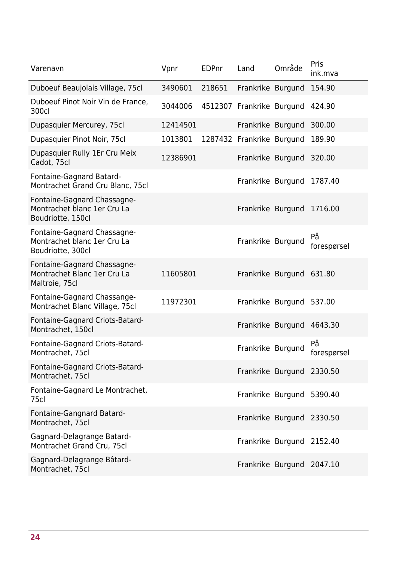| Varenavn                                                                        | Vpnr     | <b>EDPnr</b> | Land                      | Område | Pris<br>ink.mva   |
|---------------------------------------------------------------------------------|----------|--------------|---------------------------|--------|-------------------|
| Duboeuf Beaujolais Village, 75cl                                                | 3490601  | 218651       | Frankrike Burgund         |        | 154.90            |
| Duboeuf Pinot Noir Vin de France,<br>300cl                                      | 3044006  |              | 4512307 Frankrike Burgund |        | 424.90            |
| Dupasquier Mercurey, 75cl                                                       | 12414501 |              | Frankrike Burgund         |        | 300.00            |
| Dupasquier Pinot Noir, 75cl                                                     | 1013801  |              | 1287432 Frankrike Burgund |        | 189.90            |
| Dupasquier Rully 1Er Cru Meix<br>Cadot, 75cl                                    | 12386901 |              | Frankrike Burgund         |        | 320.00            |
| Fontaine-Gagnard Batard-<br>Montrachet Grand Cru Blanc, 75cl                    |          |              | Frankrike Burgund         |        | 1787.40           |
| Fontaine-Gagnard Chassagne-<br>Montrachet blanc 1er Cru La<br>Boudriotte, 150cl |          |              | Frankrike Burgund         |        | 1716.00           |
| Fontaine-Gagnard Chassagne-<br>Montrachet blanc 1er Cru La<br>Boudriotte, 300cl |          |              | Frankrike Burgund         |        | På<br>forespørsel |
| Fontaine-Gagnard Chassagne-<br>Montrachet Blanc 1er Cru La<br>Maltroie, 75cl    | 11605801 |              | Frankrike Burgund 631.80  |        |                   |
| Fontaine-Gagnard Chassange-<br>Montrachet Blanc Village, 75cl                   | 11972301 |              | Frankrike Burgund         |        | 537.00            |
| Fontaine-Gagnard Criots-Batard-<br>Montrachet, 150cl                            |          |              | Frankrike Burgund 4643.30 |        |                   |
| Fontaine-Gagnard Criots-Batard-<br>Montrachet, 75cl                             |          |              | Frankrike Burgund         |        | På<br>forespørsel |
| Fontaine-Gagnard Criots-Batard-<br>Montrachet, 75cl                             |          |              | Frankrike Burgund 2330.50 |        |                   |
| Fontaine-Gagnard Le Montrachet,<br>75cl                                         |          |              | Frankrike Burgund 5390.40 |        |                   |
| Fontaine-Gangnard Batard-<br>Montrachet, 75cl                                   |          |              | Frankrike Burgund 2330.50 |        |                   |
| Gagnard-Delagrange Batard-<br>Montrachet Grand Cru, 75cl                        |          |              | Frankrike Burgund 2152.40 |        |                   |
| Gagnard-Delagrange Bâtard-<br>Montrachet, 75cl                                  |          |              | Frankrike Burgund 2047.10 |        |                   |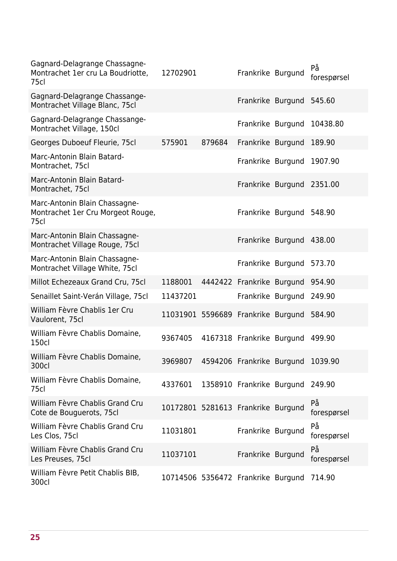| Gagnard-Delagrange Chassagne-<br>Montrachet 1er cru La Boudriotte,<br>75cl | 12702901                                  |        | Frankrike Burgund         |                          | På<br>forespørsel |
|----------------------------------------------------------------------------|-------------------------------------------|--------|---------------------------|--------------------------|-------------------|
| Gagnard-Delagrange Chassange-<br>Montrachet Village Blanc, 75cl            |                                           |        | Frankrike Burgund         |                          | 545.60            |
| Gagnard-Delagrange Chassange-<br>Montrachet Village, 150cl                 |                                           |        | Frankrike Burgund         |                          | 10438.80          |
| Georges Duboeuf Fleurie, 75cl                                              | 575901                                    | 879684 | Frankrike Burgund         |                          | 189.90            |
| Marc-Antonin Blain Batard-<br>Montrachet, 75cl                             |                                           |        | Frankrike Burgund         |                          | 1907.90           |
| Marc-Antonin Blain Batard-<br>Montrachet, 75cl                             |                                           |        |                           | Frankrike Burgund        | 2351.00           |
| Marc-Antonin Blain Chassagne-<br>Montrachet 1er Cru Morgeot Rouge,<br>75cl |                                           |        | Frankrike Burgund         |                          | 548.90            |
| Marc-Antonin Blain Chassagne-<br>Montrachet Village Rouge, 75cl            |                                           |        |                           | Frankrike Burgund 438.00 |                   |
| Marc-Antonin Blain Chassagne-<br>Montrachet Village White, 75cl            |                                           |        | Frankrike Burgund         |                          | 573.70            |
| Millot Echezeaux Grand Cru, 75cl                                           | 1188001                                   |        | 4442422 Frankrike Burgund |                          | 954.90            |
| Senaillet Saint-Verán Village, 75cl                                        | 11437201                                  |        | Frankrike Burgund         |                          | 249.90            |
| William Fèvre Chablis 1er Cru<br>Vaulorent, 75cl                           | 11031901 5596689 Frankrike Burgund        |        |                           |                          | 584.90            |
| William Fèvre Chablis Domaine,<br><b>150cl</b>                             | 9367405                                   |        | 4167318 Frankrike Burgund |                          | 499.90            |
| William Fèvre Chablis Domaine,<br>300cl                                    | 3969807 4594206 Frankrike Burgund 1039.90 |        |                           |                          |                   |
| William Fèvre Chablis Domaine,<br>75cl                                     | 4337601                                   |        | 1358910 Frankrike Burgund |                          | 249.90            |
| William Fèvre Chablis Grand Cru<br>Cote de Bouguerots, 75cl                | 10172801 5281613 Frankrike Burgund        |        |                           |                          | På<br>forespørsel |
| William Fèvre Chablis Grand Cru<br>Les Clos, 75cl                          | 11031801                                  |        | Frankrike Burgund         |                          | På<br>forespørsel |
| William Fèvre Chablis Grand Cru<br>Les Preuses, 75cl                       | 11037101                                  |        | Frankrike Burgund         |                          | På<br>forespørsel |
| William Fèvre Petit Chablis BIB,<br>300cl                                  | 10714506 5356472 Frankrike Burgund        |        |                           |                          | 714.90            |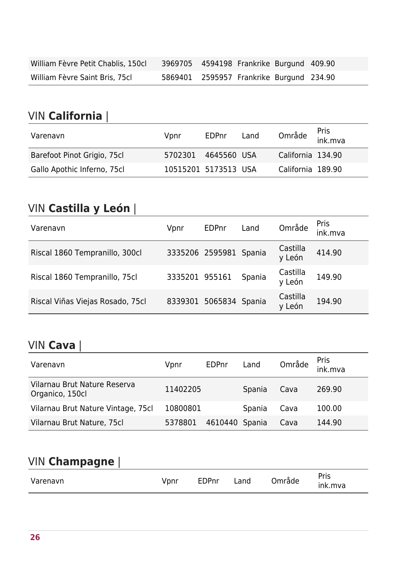| William Fèvre Petit Chablis, 150cl | 3969705 4594198 Frankrike Burgund 409.90 |  |  |
|------------------------------------|------------------------------------------|--|--|
| William Fèvre Saint Bris, 75cl     | 5869401 2595957 Frankrike Burgund 234.90 |  |  |

#### VIN **California** |

| Varenavn                    | Vpnr                 | <b>EDPnr</b> | Land |                   | Område <sup>Pris</sup><br>ink.mva |
|-----------------------------|----------------------|--------------|------|-------------------|-----------------------------------|
| Barefoot Pinot Grigio, 75cl | 5702301              | 4645560 USA  |      | California 134.90 |                                   |
| Gallo Apothic Inferno, 75cl | 10515201 5173513 USA |              |      | California 189.90 |                                   |

### VIN **Castilla y León** |

| Varenavn                         | Vpnr           | <b>EDPnr</b>           | Land   | Område             | Pris<br>ink.mva |
|----------------------------------|----------------|------------------------|--------|--------------------|-----------------|
| Riscal 1860 Tempranillo, 300cl   |                | 3335206 2595981 Spania |        | Castilla<br>y León | 414.90          |
| Riscal 1860 Tempranillo, 75cl    | 3335201 955161 |                        | Spania | Castilla<br>y León | 149.90          |
| Riscal Viñas Viejas Rosado, 75cl |                | 8339301 5065834 Spania |        | Castilla<br>y León | 194.90          |

#### VIN **Cava** |

| Varenavn                                        | Vpnr     | EDPnr   | Land   | Område | Pris<br>ink.mva |
|-------------------------------------------------|----------|---------|--------|--------|-----------------|
| Vilarnau Brut Nature Reserva<br>Organico, 150cl | 11402205 |         | Spania | Cava   | 269.90          |
| Vilarnau Brut Nature Vintage, 75cl              | 10800801 |         | Spania | Cava   | 100.00          |
| Vilarnau Brut Nature, 75cl                      | 5378801  | 4610440 | Spania | Cava   | 144.90          |

### VIN **Champagne** |

| VIN Champagne |      |       |      |        |                 |
|---------------|------|-------|------|--------|-----------------|
| Varenavn      | Vpnr | EDPnr | Land | Område | Pris<br>ink.mva |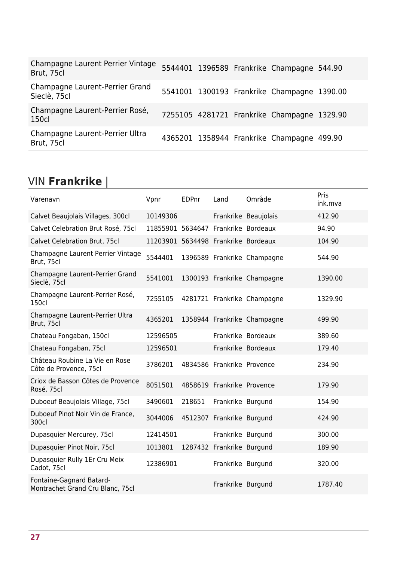| Champagne Laurent Perrier Vintage<br>Brut, 75cl |  | 5544401 1396589 Frankrike Champagne 544.90  |  |
|-------------------------------------------------|--|---------------------------------------------|--|
| Champagne Laurent-Perrier Grand<br>Sieclè, 75cl |  | 5541001 1300193 Frankrike Champagne 1390.00 |  |
| Champagne Laurent-Perrier Rosé,<br>150cl        |  | 7255105 4281721 Frankrike Champagne 1329.90 |  |
| Champagne Laurent-Perrier Ultra<br>Brut, 75cl   |  | 4365201 1358944 Frankrike Champagne 499.90  |  |

### VIN **Frankrike** |

| Varenavn                                                     | Vpnr                                | <b>EDPnr</b> | Land                       | Område                      | Pris<br>ink.mva |
|--------------------------------------------------------------|-------------------------------------|--------------|----------------------------|-----------------------------|-----------------|
| Calvet Beaujolais Villages, 300cl                            | 10149306                            |              |                            | Frankrike Beaujolais        | 412.90          |
| Calvet Celebration Brut Rosé, 75cl                           | 11855901                            |              |                            | 5634647 Frankrike Bordeaux  | 94.90           |
| Calvet Celebration Brut, 75cl                                | 11203901 5634498 Frankrike Bordeaux |              |                            |                             | 104.90          |
| Champagne Laurent Perrier Vintage<br>Brut, 75cl              | 5544401                             |              |                            | 1396589 Frankrike Champagne | 544.90          |
| Champagne Laurent-Perrier Grand<br>Sieclè, 75cl              | 5541001                             |              |                            | 1300193 Frankrike Champagne | 1390.00         |
| Champagne Laurent-Perrier Rosé,<br>150cl                     | 7255105                             |              |                            | 4281721 Frankrike Champagne | 1329.90         |
| Champagne Laurent-Perrier Ultra<br>Brut, 75cl                | 4365201                             |              |                            | 1358944 Frankrike Champagne | 499.90          |
| Chateau Fongaban, 150cl                                      | 12596505                            |              |                            | Frankrike Bordeaux          | 389.60          |
| Chateau Fongaban, 75cl                                       | 12596501                            |              |                            | Frankrike Bordeaux          | 179.40          |
| Château Roubine La Vie en Rose<br>Côte de Provence, 75cl     | 3786201                             |              | 4834586 Frankrike Provence |                             | 234.90          |
| Criox de Basson Côtes de Provence<br>Rosé, 75cl              | 8051501                             |              | 4858619 Frankrike Provence |                             | 179.90          |
| Duboeuf Beaujolais Village, 75cl                             | 3490601                             | 218651       | Frankrike Burgund          |                             | 154.90          |
| Duboeuf Pinot Noir Vin de France,<br>300cl                   | 3044006                             |              | 4512307 Frankrike Burgund  |                             | 424.90          |
| Dupasquier Mercurey, 75cl                                    | 12414501                            |              | Frankrike Burgund          |                             | 300.00          |
| Dupasquier Pinot Noir, 75cl                                  | 1013801                             |              | 1287432 Frankrike Burgund  |                             | 189.90          |
| Dupasquier Rully 1Er Cru Meix<br>Cadot, 75cl                 | 12386901                            |              | Frankrike Burgund          |                             | 320.00          |
| Fontaine-Gagnard Batard-<br>Montrachet Grand Cru Blanc, 75cl |                                     |              | Frankrike Burgund          |                             | 1787.40         |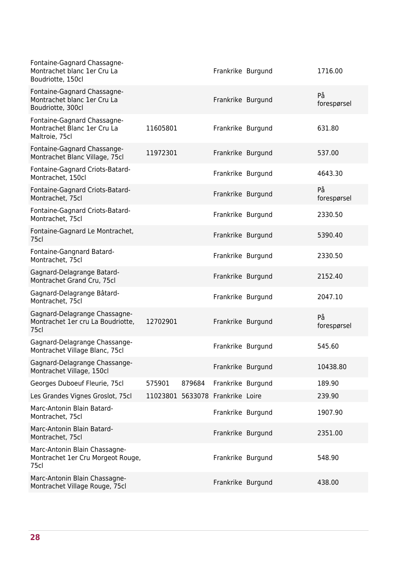| Fontaine-Gagnard Chassagne-<br>Montrachet blanc 1er Cru La<br>Boudriotte, 150cl |                                  |        | Frankrike Burgund | 1716.00           |
|---------------------------------------------------------------------------------|----------------------------------|--------|-------------------|-------------------|
| Fontaine-Gagnard Chassagne-<br>Montrachet blanc 1er Cru La<br>Boudriotte, 300cl |                                  |        | Frankrike Burgund | På<br>forespørsel |
| Fontaine-Gagnard Chassagne-<br>Montrachet Blanc 1er Cru La<br>Maltroie, 75cl    | 11605801                         |        | Frankrike Burgund | 631.80            |
| Fontaine-Gagnard Chassange-<br>Montrachet Blanc Village, 75cl                   | 11972301                         |        | Frankrike Burgund | 537.00            |
| Fontaine-Gagnard Criots-Batard-<br>Montrachet, 150cl                            |                                  |        | Frankrike Burgund | 4643.30           |
| Fontaine-Gagnard Criots-Batard-<br>Montrachet, 75cl                             |                                  |        | Frankrike Burgund | På<br>forespørsel |
| Fontaine-Gagnard Criots-Batard-<br>Montrachet, 75cl                             |                                  |        | Frankrike Burgund | 2330.50           |
| Fontaine-Gagnard Le Montrachet,<br>75cl                                         |                                  |        | Frankrike Burgund | 5390.40           |
| Fontaine-Gangnard Batard-<br>Montrachet, 75cl                                   |                                  |        | Frankrike Burgund | 2330.50           |
| Gagnard-Delagrange Batard-<br>Montrachet Grand Cru, 75cl                        |                                  |        | Frankrike Burgund | 2152.40           |
| Gagnard-Delagrange Bâtard-<br>Montrachet, 75cl                                  |                                  |        | Frankrike Burgund | 2047.10           |
| Gagnard-Delagrange Chassagne-<br>Montrachet 1er cru La Boudriotte,<br>75cl      | 12702901                         |        | Frankrike Burgund | På<br>forespørsel |
| Gagnard-Delagrange Chassange-<br>Montrachet Village Blanc, 75cl                 |                                  |        | Frankrike Burgund | 545.60            |
| Gagnard-Delagrange Chassange-<br>Montrachet Village, 150cl                      |                                  |        | Frankrike Burgund | 10438.80          |
| Georges Duboeuf Fleurie, 75cl                                                   | 575901                           | 879684 | Frankrike Burgund | 189.90            |
| Les Grandes Vignes Groslot, 75cl                                                | 11023801 5633078 Frankrike Loire |        |                   | 239.90            |
| Marc-Antonin Blain Batard-<br>Montrachet, 75cl                                  |                                  |        | Frankrike Burgund | 1907.90           |
| Marc-Antonin Blain Batard-<br>Montrachet, 75cl                                  |                                  |        | Frankrike Burgund | 2351.00           |
| Marc-Antonin Blain Chassagne-<br>Montrachet 1er Cru Morgeot Rouge,<br>75cl      |                                  |        | Frankrike Burgund | 548.90            |
| Marc-Antonin Blain Chassagne-<br>Montrachet Village Rouge, 75cl                 |                                  |        | Frankrike Burgund | 438.00            |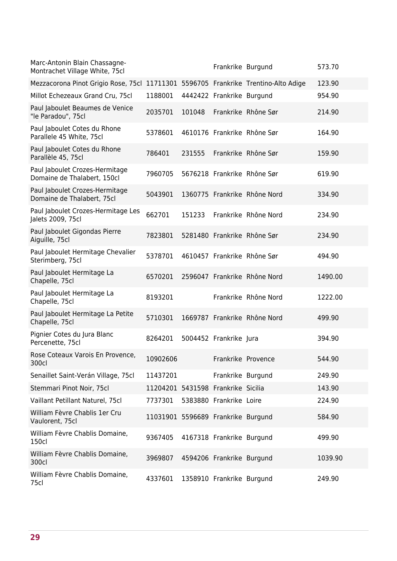| Marc-Antonin Blain Chassagne-<br>Montrachet Village White, 75cl                    |                                    |        | Frankrike Burgund         |                              | 573.70  |
|------------------------------------------------------------------------------------|------------------------------------|--------|---------------------------|------------------------------|---------|
| Mezzacorona Pinot Grigio Rose, 75cl 11711301 5596705 Frankrike Trentino-Alto Adige |                                    |        |                           |                              | 123.90  |
| Millot Echezeaux Grand Cru, 75cl                                                   | 1188001                            |        | 4442422 Frankrike Burgund |                              | 954.90  |
| Paul Jaboulet Beaumes de Venice<br>"le Paradou", 75cl                              | 2035701                            | 101048 |                           | Frankrike Rhône Sør          | 214.90  |
| Paul Jaboulet Cotes du Rhone<br>Parallele 45 White, 75cl                           | 5378601                            |        |                           | 4610176 Frankrike Rhône Sør  | 164.90  |
| Paul Jaboulet Cotes du Rhone<br>Parallèle 45, 75cl                                 | 786401                             | 231555 |                           | Frankrike Rhône Sør          | 159.90  |
| Paul Jaboulet Crozes-Hermitage<br>Domaine de Thalabert, 150cl                      | 7960705                            |        |                           | 5676218 Frankrike Rhône Sør  | 619.90  |
| Paul Jaboulet Crozes-Hermitage<br>Domaine de Thalabert, 75cl                       | 5043901                            |        |                           | 1360775 Frankrike Rhône Nord | 334.90  |
| Paul Jaboulet Crozes-Hermitage Les<br>Jalets 2009, 75cl                            | 662701                             | 151233 |                           | Frankrike Rhône Nord         | 234.90  |
| Paul Jaboulet Gigondas Pierre<br>Aiguille, 75cl                                    | 7823801                            |        |                           | 5281480 Frankrike Rhône Sør  | 234.90  |
| Paul Jaboulet Hermitage Chevalier<br>Sterimberg, 75cl                              | 5378701                            |        |                           | 4610457 Frankrike Rhône Sør  | 494.90  |
| Paul Jaboulet Hermitage La<br>Chapelle, 75cl                                       | 6570201                            |        |                           | 2596047 Frankrike Rhône Nord | 1490.00 |
| Paul Jaboulet Hermitage La<br>Chapelle, 75cl                                       | 8193201                            |        |                           | Frankrike Rhône Nord         | 1222.00 |
| Paul Jaboulet Hermitage La Petite<br>Chapelle, 75cl                                | 5710301                            |        |                           | 1669787 Frankrike Rhône Nord | 499.90  |
| Pignier Cotes du Jura Blanc<br>Percenette, 75cl                                    | 8264201                            |        | 5004452 Frankrike Jura    |                              | 394.90  |
| Rose Coteaux Varois En Provence,<br>300cl                                          | 10902606                           |        | Frankrike Provence        |                              | 544.90  |
| Senaillet Saint-Verán Village, 75cl                                                | 11437201                           |        | Frankrike Burgund         |                              | 249.90  |
| Stemmari Pinot Noir, 75cl                                                          | 11204201 5431598 Frankrike Sicilia |        |                           |                              | 143.90  |
| Vaillant Petillant Naturel, 75cl                                                   | 7737301                            |        | 5383880 Frankrike Loire   |                              | 224.90  |
| William Fèvre Chablis 1er Cru<br>Vaulorent, 75cl                                   | 11031901 5596689 Frankrike Burgund |        |                           |                              | 584.90  |
| William Fèvre Chablis Domaine,<br>150cl                                            | 9367405                            |        | 4167318 Frankrike Burgund |                              | 499.90  |
| William Fèvre Chablis Domaine,<br>300cl                                            | 3969807                            |        | 4594206 Frankrike Burgund |                              | 1039.90 |
| William Fèvre Chablis Domaine,<br>75cl                                             | 4337601                            |        | 1358910 Frankrike Burgund |                              | 249.90  |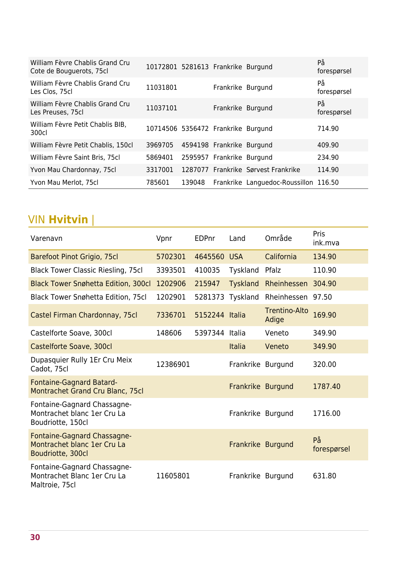| William Fèvre Chablis Grand Cru<br>Cote de Bouguerots, 75cl | 10172801 5281613 Frankrike Burgund |        |                           |                                       | På<br>forespørsel |
|-------------------------------------------------------------|------------------------------------|--------|---------------------------|---------------------------------------|-------------------|
| William Fèvre Chablis Grand Cru<br>Les Clos, 75cl           | 11031801                           |        | Frankrike Burgund         |                                       | På<br>forespørsel |
| William Fèvre Chablis Grand Cru<br>Les Preuses, 75cl        | 11037101                           |        | Frankrike Burgund         |                                       | På<br>forespørsel |
| William Fèvre Petit Chablis BIB,<br>300cl                   | 10714506 5356472 Frankrike Burgund |        |                           |                                       | 714.90            |
| William Fèvre Petit Chablis, 150cl                          | 3969705                            |        | 4594198 Frankrike Burgund |                                       | 409.90            |
| William Fèvre Saint Bris, 75cl                              | 5869401                            |        | 2595957 Frankrike Burgund |                                       | 234.90            |
| Yvon Mau Chardonnay, 75cl                                   | 3317001                            |        |                           | 1287077 Frankrike Sørvest Frankrike   | 114.90            |
| Yvon Mau Merlot, 75cl                                       | 785601                             | 139048 |                           | Frankrike Languedoc-Roussillon 116.50 |                   |

### VIN **Hvitvin** |

| Varenavn                                                                        | Vpnr     | EDPnr          | Land              | Område                        | Pris<br>ink.mva   |
|---------------------------------------------------------------------------------|----------|----------------|-------------------|-------------------------------|-------------------|
| Barefoot Pinot Grigio, 75cl                                                     | 5702301  | 4645560 USA    |                   | California                    | 134.90            |
| <b>Black Tower Classic Riesling, 75cl</b>                                       | 3393501  | 410035         | Tyskland          | Pfalz                         | 110.90            |
| <b>Black Tower Snøhetta Edition, 300cl</b>                                      | 1202906  | 215947         | <b>Tyskland</b>   | Rheinhessen                   | 304.90            |
| <b>Black Tower Snøhetta Edition, 75cl</b>                                       | 1202901  | 5281373        | Tyskland          | Rheinhessen                   | 97.50             |
| Castel Firman Chardonnay, 75cl                                                  | 7336701  | 5152244 Italia |                   | <b>Trentino-Alto</b><br>Adige | 169.90            |
| Castelforte Soave, 300cl                                                        | 148606   | 5397344 Italia |                   | Veneto                        | 349.90            |
| Castelforte Soave, 300cl                                                        |          |                | <b>Italia</b>     | Veneto                        | 349.90            |
| Dupasquier Rully 1Er Cru Meix<br>Cadot, 75cl                                    | 12386901 |                | Frankrike Burgund |                               | 320.00            |
| <b>Fontaine-Gagnard Batard-</b><br>Montrachet Grand Cru Blanc, 75cl             |          |                | Frankrike Burgund |                               | 1787.40           |
| Fontaine-Gagnard Chassagne-<br>Montrachet blanc 1er Cru La<br>Boudriotte, 150cl |          |                | Frankrike Burgund |                               | 1716.00           |
| Fontaine-Gagnard Chassagne-<br>Montrachet blanc 1er Cru La<br>Boudriotte, 300cl |          |                | Frankrike Burgund |                               | På<br>forespørsel |
| Fontaine-Gagnard Chassagne-<br>Montrachet Blanc 1er Cru La<br>Maltroie, 75cl    | 11605801 |                | Frankrike Burgund |                               | 631.80            |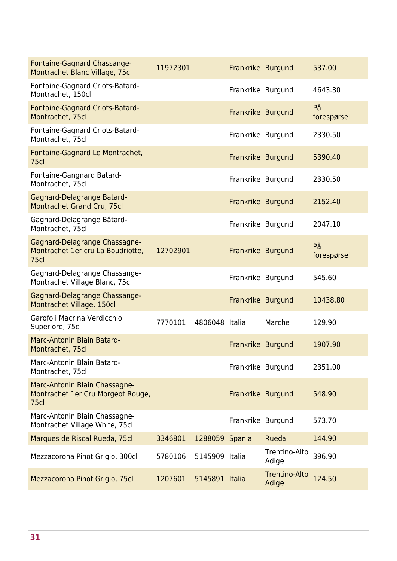| Fontaine-Gagnard Chassange-<br>Montrachet Blanc Village, 75cl                          | 11972301 |                | Frankrike Burgund |                               | 537.00            |
|----------------------------------------------------------------------------------------|----------|----------------|-------------------|-------------------------------|-------------------|
| Fontaine-Gagnard Criots-Batard-<br>Montrachet, 150cl                                   |          |                | Frankrike Burgund |                               | 4643.30           |
| Fontaine-Gagnard Criots-Batard-<br>Montrachet, 75cl                                    |          |                | Frankrike Burgund |                               | På<br>forespørsel |
| Fontaine-Gagnard Criots-Batard-<br>Montrachet, 75cl                                    |          |                | Frankrike Burgund |                               | 2330.50           |
| Fontaine-Gagnard Le Montrachet,<br>75c                                                 |          |                | Frankrike Burgund |                               | 5390.40           |
| Fontaine-Gangnard Batard-<br>Montrachet, 75cl                                          |          |                | Frankrike Burgund |                               | 2330.50           |
| Gagnard-Delagrange Batard-<br>Montrachet Grand Cru, 75cl                               |          |                | Frankrike Burgund |                               | 2152.40           |
| Gagnard-Delagrange Bâtard-<br>Montrachet, 75cl                                         |          |                | Frankrike Burgund |                               | 2047.10           |
| Gagnard-Delagrange Chassagne-<br>Montrachet 1er cru La Boudriotte,<br>75 <sub>cl</sub> | 12702901 |                | Frankrike Burgund |                               | På<br>forespørsel |
| Gagnard-Delagrange Chassange-<br>Montrachet Village Blanc, 75cl                        |          |                | Frankrike Burgund |                               | 545.60            |
| Gagnard-Delagrange Chassange-<br>Montrachet Village, 150cl                             |          |                | Frankrike Burgund |                               | 10438.80          |
| Garofoli Macrina Verdicchio<br>Superiore, 75cl                                         | 7770101  | 4806048 Italia |                   | Marche                        | 129.90            |
| Marc-Antonin Blain Batard-<br>Montrachet, 75cl                                         |          |                | Frankrike Burgund |                               | 1907.90           |
| Marc-Antonin Blain Batard-<br>Montrachet, 75cl                                         |          |                | Frankrike Burgund |                               | 2351.00           |
| Marc-Antonin Blain Chassagne-<br>Montrachet 1er Cru Morgeot Rouge,<br>75 <sub>cl</sub> |          |                | Frankrike Burgund |                               | 548.90            |
| Marc-Antonin Blain Chassagne-<br>Montrachet Village White, 75cl                        |          |                | Frankrike Burgund |                               | 573.70            |
| Marques de Riscal Rueda, 75cl                                                          | 3346801  | 1288059 Spania |                   | Rueda                         | 144.90            |
| Mezzacorona Pinot Grigio, 300cl                                                        | 5780106  | 5145909 Italia |                   | Trentino-Alto<br>Adige        | 396.90            |
| Mezzacorona Pinot Grigio, 75cl                                                         | 1207601  | 5145891 Italia |                   | <b>Trentino-Alto</b><br>Adige | 124.50            |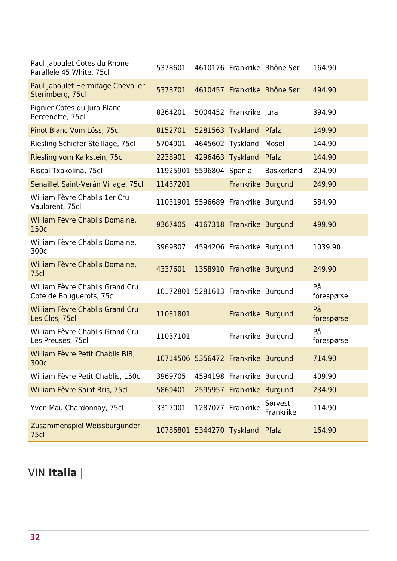| Paul Jaboulet Cotes du Rhone<br>Parallele 45 White, 75cl    | 5378601                            |                  |                           | 4610176 Frankrike Rhône Sør | 164.90            |
|-------------------------------------------------------------|------------------------------------|------------------|---------------------------|-----------------------------|-------------------|
| Paul Jaboulet Hermitage Chevalier<br>Sterimberg, 75cl       | 5378701                            |                  |                           | 4610457 Frankrike Rhône Sør | 494.90            |
| Pignier Cotes du Jura Blanc<br>Percenette, 75cl             | 8264201                            |                  | 5004452 Frankrike Jura    |                             | 394.90            |
| Pinot Blanc Vom Löss, 75cl                                  | 8152701                            |                  | 5281563 Tyskland Pfalz    |                             | 149.90            |
| Riesling Schiefer Steillage, 75cl                           | 5704901                            | 4645602 Tyskland |                           | Mosel                       | 144.90            |
| Riesling vom Kalkstein, 75cl                                | 2238901                            |                  | 4296463 Tyskland          | Pfalz                       | 144.90            |
| Riscal Txakolina, 75cl                                      | 11925901 5596804 Spania            |                  |                           | <b>Baskerland</b>           | 204.90            |
| Senaillet Saint-Verán Village, 75cl                         | 11437201                           |                  | Frankrike Burgund         |                             | 249.90            |
| William Fèvre Chablis 1er Cru<br>Vaulorent, 75cl            | 11031901 5596689 Frankrike Burgund |                  |                           |                             | 584.90            |
| William Fèvre Chablis Domaine,<br><b>150cl</b>              | 9367405                            |                  | 4167318 Frankrike Burgund |                             | 499.90            |
| William Fèvre Chablis Domaine,<br>300cl                     | 3969807                            |                  | 4594206 Frankrike Burgund |                             | 1039.90           |
| William Fèvre Chablis Domaine,<br>75cl                      | 4337601                            |                  | 1358910 Frankrike Burgund |                             | 249.90            |
| William Fèvre Chablis Grand Cru<br>Cote de Bouguerots, 75cl | 10172801 5281613 Frankrike Burgund |                  |                           |                             | På<br>forespørsel |
| William Fèvre Chablis Grand Cru<br>Les Clos, 75cl           | 11031801                           |                  | Frankrike Burgund         |                             | På<br>forespørsel |
| William Fèvre Chablis Grand Cru<br>Les Preuses, 75cl        | 11037101                           |                  | Frankrike Burgund         |                             | På<br>forespørsel |
| William Fèvre Petit Chablis BIB,<br>300cl                   | 10714506 5356472 Frankrike Burgund |                  |                           |                             | 714.90            |
| William Fèvre Petit Chablis, 150cl                          | 3969705                            |                  | 4594198 Frankrike Burgund |                             | 409.90            |
| William Fèvre Saint Bris, 75cl                              | 5869401                            |                  | 2595957 Frankrike Burgund |                             | 234.90            |
| Yvon Mau Chardonnay, 75cl                                   | 3317001                            |                  | 1287077 Frankrike         | Sørvest<br>Frankrike        | 114.90            |
| Zusammenspiel Weissburgunder,<br>75cl                       | 10786801 5344270 Tyskland Pfalz    |                  |                           |                             | 164.90            |

## VIN **Italia** |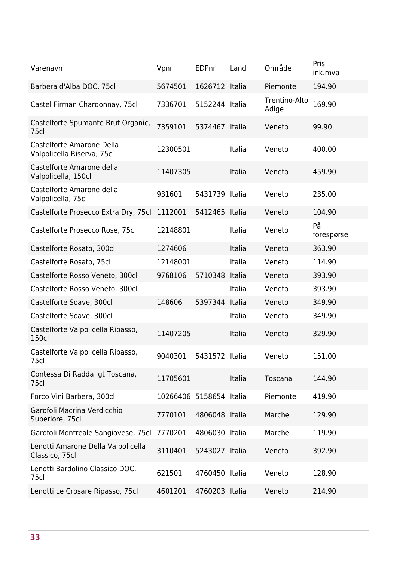| Varenavn                                                | Vpnr                    | <b>EDPnr</b>   | Land   | Område                 | Pris<br>ink.mva   |
|---------------------------------------------------------|-------------------------|----------------|--------|------------------------|-------------------|
| Barbera d'Alba DOC, 75cl                                | 5674501                 | 1626712 Italia |        | Piemonte               | 194.90            |
| Castel Firman Chardonnay, 75cl                          | 7336701                 | 5152244 Italia |        | Trentino-Alto<br>Adige | 169.90            |
| Castelforte Spumante Brut Organic,<br>75cl              | 7359101                 | 5374467 Italia |        | Veneto                 | 99.90             |
| Castelforte Amarone Della<br>Valpolicella Riserva, 75cl | 12300501                |                | Italia | Veneto                 | 400.00            |
| Castelforte Amarone della<br>Valpolicella, 150cl        | 11407305                |                | Italia | Veneto                 | 459.90            |
| Castelforte Amarone della<br>Valpolicella, 75cl         | 931601                  | 5431739 Italia |        | Veneto                 | 235.00            |
| Castelforte Prosecco Extra Dry, 75cl                    | 1112001                 | 5412465 Italia |        | Veneto                 | 104.90            |
| Castelforte Prosecco Rose, 75cl                         | 12148801                |                | Italia | Veneto                 | På<br>forespørsel |
| Castelforte Rosato, 300cl                               | 1274606                 |                | Italia | Veneto                 | 363.90            |
| Castelforte Rosato, 75cl                                | 12148001                |                | Italia | Veneto                 | 114.90            |
| Castelforte Rosso Veneto, 300cl                         | 9768106                 | 5710348        | Italia | Veneto                 | 393.90            |
| Castelforte Rosso Veneto, 300cl                         |                         |                | Italia | Veneto                 | 393.90            |
| Castelforte Soave, 300cl                                | 148606                  | 5397344 Italia |        | Veneto                 | 349.90            |
| Castelforte Soave, 300cl                                |                         |                | Italia | Veneto                 | 349.90            |
| Castelforte Valpolicella Ripasso,<br>150cl              | 11407205                |                | Italia | Veneto                 | 329.90            |
| Castelforte Valpolicella Ripasso,<br>75cl               | 9040301                 | 5431572 Italia |        | Veneto                 | 151.00            |
| Contessa Di Radda Igt Toscana,<br>75cl                  | 11705601                |                | Italia | Toscana                | 144.90            |
| Forco Vini Barbera, 300cl                               | 10266406 5158654 Italia |                |        | Piemonte               | 419.90            |
| Garofoli Macrina Verdicchio<br>Superiore, 75cl          | 7770101                 | 4806048 Italia |        | Marche                 | 129.90            |
| Garofoli Montreale Sangiovese, 75cl                     | 7770201                 | 4806030 Italia |        | Marche                 | 119.90            |
| Lenotti Amarone Della Valpolicella<br>Classico, 75cl    | 3110401                 | 5243027 Italia |        | Veneto                 | 392.90            |
| Lenotti Bardolino Classico DOC,<br>75cl                 | 621501                  | 4760450 Italia |        | Veneto                 | 128.90            |
| Lenotti Le Crosare Ripasso, 75cl                        | 4601201                 | 4760203 Italia |        | Veneto                 | 214.90            |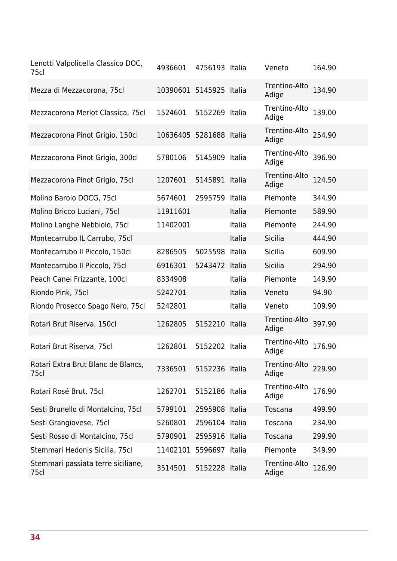| Lenotti Valpolicella Classico DOC,<br>75cl | 4936601                 | 4756193 Italia |        | Veneto                 | 164.90 |
|--------------------------------------------|-------------------------|----------------|--------|------------------------|--------|
| Mezza di Mezzacorona, 75cl                 | 10390601 5145925 Italia |                |        | Trentino-Alto<br>Adige | 134.90 |
| Mezzacorona Merlot Classica, 75cl          | 1524601                 | 5152269 Italia |        | Trentino-Alto<br>Adige | 139.00 |
| Mezzacorona Pinot Grigio, 150cl            | 10636405 5281688 Italia |                |        | Trentino-Alto<br>Adige | 254.90 |
| Mezzacorona Pinot Grigio, 300cl            | 5780106                 | 5145909 Italia |        | Trentino-Alto<br>Adige | 396.90 |
| Mezzacorona Pinot Grigio, 75cl             | 1207601                 | 5145891 Italia |        | Trentino-Alto<br>Adige | 124.50 |
| Molino Barolo DOCG, 75cl                   | 5674601                 | 2595759 Italia |        | Piemonte               | 344.90 |
| Molino Bricco Luciani, 75cl                | 11911601                |                | Italia | Piemonte               | 589.90 |
| Molino Langhe Nebbiolo, 75cl               | 11402001                |                | Italia | Piemonte               | 244.90 |
| Montecarrubo IL Carrubo, 75cl              |                         |                | Italia | Sicilia                | 444.90 |
| Montecarrubo Il Piccolo, 150cl             | 8286505                 | 5025598 Italia |        | <b>Sicilia</b>         | 609.90 |
| Montecarrubo Il Piccolo, 75cl              | 6916301                 | 5243472 Italia |        | <b>Sicilia</b>         | 294.90 |
| Peach Canei Frizzante, 100cl               | 8334908                 |                | Italia | Piemonte               | 149.90 |
| Riondo Pink, 75cl                          | 5242701                 |                | Italia | Veneto                 | 94.90  |
| Riondo Prosecco Spago Nero, 75cl           | 5242801                 |                | Italia | Veneto                 | 109.90 |
| Rotari Brut Riserva, 150cl                 | 1262805                 | 5152210 Italia |        | Trentino-Alto<br>Adige | 397.90 |
| Rotari Brut Riserva, 75cl                  | 1262801                 | 5152202 Italia |        | Trentino-Alto<br>Adige | 176.90 |
| Rotari Extra Brut Blanc de Blancs,<br>75cl | 7336501                 | 5152236 Italia |        | Trentino-Alto<br>Adige | 229.90 |
| Rotari Rosé Brut, 75cl                     | 1262701                 | 5152186 Italia |        | Trentino-Alto<br>Adige | 176.90 |
| Sesti Brunello di Montalcino, 75cl         | 5799101                 | 2595908 Italia |        | Toscana                | 499.90 |
| Sesti Grangiovese, 75cl                    | 5260801                 | 2596104 Italia |        | Toscana                | 234.90 |
| Sesti Rosso di Montalcino, 75cl            | 5790901                 | 2595916 Italia |        | Toscana                | 299.90 |
| Stemmari Hedonis Sicilia, 75cl             | 11402101                | 5596697 Italia |        | Piemonte               | 349.90 |
| Stemmari passiata terre siciliane,<br>75cl | 3514501                 | 5152228 Italia |        | Trentino-Alto<br>Adige | 126.90 |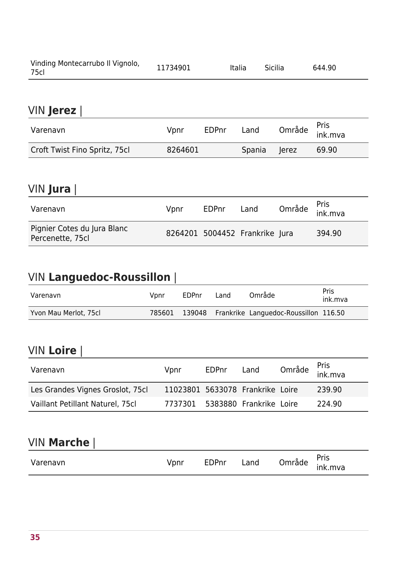| Vinding Montecarrubo Il Vignolo,<br>75c | 11734901 | <b>Italia</b> | <b>Sicilia</b> | 644.90 |  |
|-----------------------------------------|----------|---------------|----------------|--------|--|
|-----------------------------------------|----------|---------------|----------------|--------|--|

#### VIN **Jerez** |

| VIN Jerez                     |         |       |        |       |                                   |
|-------------------------------|---------|-------|--------|-------|-----------------------------------|
| Varenavn                      | Vpnr    | EDPnr | Land   |       | Område <sup>Pris</sup><br>ink.mva |
| Croft Twist Fino Spritz, 75cl | 8264601 |       | Spania | lerez | 69.90                             |

#### VIN **Jura** |

| Varenavn                                        | Vpnr | <b>EDPnr</b> | Land                           | Område <sup>Pris</sup><br>ink.mva |
|-------------------------------------------------|------|--------------|--------------------------------|-----------------------------------|
| Pignier Cotes du Jura Blanc<br>Percenette, 75cl |      |              | 8264201 5004452 Frankrike Jura | 394.90                            |

### VIN **Languedoc-Roussillon** |

| Varenavn              | Vpnr   | EDPnr | Land | Område                                       | Pris<br>ink.mva |
|-----------------------|--------|-------|------|----------------------------------------------|-----------------|
| Yvon Mau Merlot, 75cl | 785601 |       |      | 139048 Frankrike Languedoc-Roussillon 116.50 |                 |

#### VIN **Loire** |

| Varenavn                         | Vpnr                             | EDPnr | Land | Område <sup>Pris</sup><br>ink.mva |
|----------------------------------|----------------------------------|-------|------|-----------------------------------|
| Les Grandes Vignes Groslot, 75cl | 11023801 5633078 Frankrike Loire |       |      | 239.90                            |
| Vaillant Petillant Naturel, 75cl | 7737301 5383880 Frankrike Loire  |       |      | 224.90                            |

#### VIN **Marche** |

| VIN Marche |      |              |      |        |                        |
|------------|------|--------------|------|--------|------------------------|
| Varenavn   | Vpnr | <b>EDPnr</b> | Land | Område | <b>Pris</b><br>ink.mva |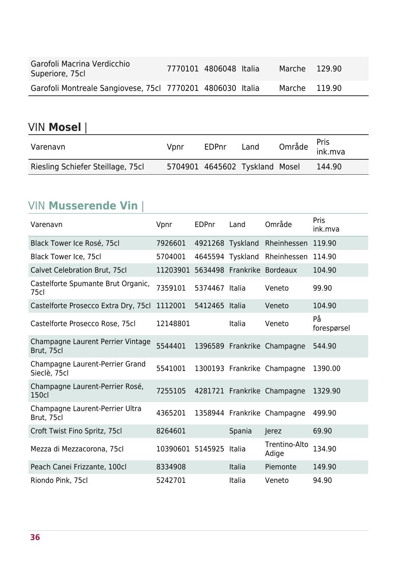| Garofoli Macrina Verdicchio<br>Superiore, 75cl             | 7770101 4806048 Italia | Marche 129.90 |  |
|------------------------------------------------------------|------------------------|---------------|--|
| Garofoli Montreale Sangiovese, 75cl 7770201 4806030 Italia |                        | Marche 119.90 |  |

### VIN **Mosel** |

| Varenavn                          | Vpnr | EDPnr | Land                           | Område <sup>Pris</sup><br>ink.mva |        |
|-----------------------------------|------|-------|--------------------------------|-----------------------------------|--------|
| Riesling Schiefer Steillage, 75cl |      |       | 5704901 4645602 Tyskland Mosel |                                   | 144.90 |

#### VIN **Musserende Vin** |

| Varenavn                                        | Vpnr             | <b>EDPnr</b>     | Land                       | Område                      | Pris<br>ink.mva   |
|-------------------------------------------------|------------------|------------------|----------------------------|-----------------------------|-------------------|
| Black Tower Ice Rosé, 75cl                      | 7926601          | 4921268 Tyskland |                            | Rheinhessen                 | 119.90            |
| Black Tower Ice, 75cl                           | 5704001          | 4645594          | Tyskland                   | Rheinhessen                 | 114.90            |
| Calvet Celebration Brut, 75cl                   | 11203901         |                  | 5634498 Frankrike Bordeaux |                             | 104.90            |
| Castelforte Spumante Brut Organic,<br>75cl      | 7359101          | 5374467 Italia   |                            | Veneto                      | 99.90             |
| Castelforte Prosecco Extra Dry, 75cl            | 1112001          | 5412465 Italia   |                            | Veneto                      | 104.90            |
| Castelforte Prosecco Rose, 75cl                 | 12148801         |                  | Italia                     | Veneto                      | På<br>forespørsel |
| Champagne Laurent Perrier Vintage<br>Brut, 75cl | 5544401          |                  |                            | 1396589 Frankrike Champagne | 544.90            |
| Champagne Laurent-Perrier Grand<br>Sieclè, 75cl | 5541001          |                  |                            | 1300193 Frankrike Champagne | 1390.00           |
| Champagne Laurent-Perrier Rosé,<br>150cl        | 7255105          |                  |                            | 4281721 Frankrike Champagne | 1329.90           |
| Champagne Laurent-Perrier Ultra<br>Brut, 75cl   | 4365201          |                  |                            | 1358944 Frankrike Champagne | 499.90            |
| Croft Twist Fino Spritz, 75cl                   | 8264601          |                  | Spania                     | Jerez                       | 69.90             |
| Mezza di Mezzacorona, 75cl                      | 10390601 5145925 |                  | Italia                     | Trentino-Alto<br>Adige      | 134.90            |
| Peach Canei Frizzante, 100cl                    | 8334908          |                  | Italia                     | Piemonte                    | 149.90            |
| Riondo Pink, 75cl                               | 5242701          |                  | Italia                     | Veneto                      | 94.90             |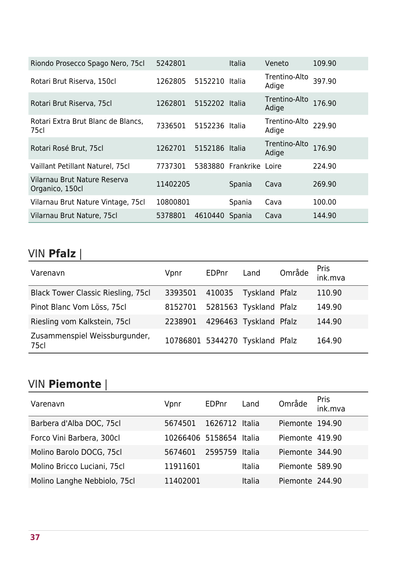| Riondo Prosecco Spago Nero, 75cl                | 5242801  |                | <b>Italia</b>           | Veneto                 | 109.90 |
|-------------------------------------------------|----------|----------------|-------------------------|------------------------|--------|
| Rotari Brut Riserva, 150cl                      | 1262805  | 5152210        | Italia                  | Trentino-Alto<br>Adige | 397.90 |
| Rotari Brut Riserva, 75cl                       | 1262801  | 5152202 Italia |                         | Trentino-Alto<br>Adige | 176.90 |
| Rotari Extra Brut Blanc de Blancs,<br>75cl      | 7336501  | 5152236 Italia |                         | Trentino-Alto<br>Adige | 229.90 |
| Rotari Rosé Brut, 75cl                          | 1262701  | 5152186 Italia |                         | Trentino-Alto<br>Adige | 176.90 |
| Vaillant Petillant Naturel, 75cl                | 7737301  |                | 5383880 Frankrike Loire |                        | 224.90 |
| Vilarnau Brut Nature Reserva<br>Organico, 150cl | 11402205 |                | Spania                  | Cava                   | 269.90 |
| Vilarnau Brut Nature Vintage, 75cl              | 10800801 |                | Spania                  | Cava                   | 100.00 |
| Vilarnau Brut Nature, 75cl                      | 5378801  | 4610440        | Spania                  | Cava                   | 144.90 |

# VIN **Pfalz** |

| Varenavn                                  | Vpnr                            | <b>EDPnr</b> | Land                   | Område | Pris<br>ink.mva |
|-------------------------------------------|---------------------------------|--------------|------------------------|--------|-----------------|
| <b>Black Tower Classic Riesling, 75cl</b> | 3393501                         | 410035       | Tyskland Pfalz         |        | 110.90          |
| Pinot Blanc Vom Löss, 75cl                | 8152701                         |              | 5281563 Tyskland Pfalz |        | 149.90          |
| Riesling vom Kalkstein, 75cl              | 2238901                         |              | 4296463 Tyskland Pfalz |        | 144.90          |
| Zusammenspiel Weissburgunder,<br>75cl     | 10786801 5344270 Tyskland Pfalz |              |                        |        | 164.90          |

### VIN **Piemonte** |

| Varenavn                     | Vpnr                    | EDPnr          | Land   | Område          | Pris<br>ink.mva |
|------------------------------|-------------------------|----------------|--------|-----------------|-----------------|
| Barbera d'Alba DOC, 75cl     | 5674501                 | 1626712 Italia |        | Piemonte 194.90 |                 |
| Forco Vini Barbera, 300cl    | 10266406 5158654 Italia |                |        | Piemonte 419.90 |                 |
| Molino Barolo DOCG, 75cl     | 5674601                 | 2595759        | Italia | Piemonte 344.90 |                 |
| Molino Bricco Luciani, 75cl  | 11911601                |                | Italia | Piemonte 589.90 |                 |
| Molino Langhe Nebbiolo, 75cl | 11402001                |                | Italia | Piemonte 244.90 |                 |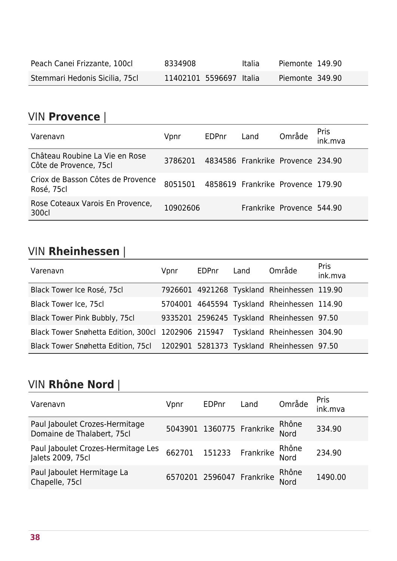| Peach Canei Frizzante, 100cl   | 8334908                 | Italia | Piemonte 149.90 |
|--------------------------------|-------------------------|--------|-----------------|
| Stemmari Hedonis Sicilia, 75cl | 11402101 5596697 Italia |        | Piemonte 349.90 |

#### VIN **Provence** |

| Varenavn                                                 | Vpnr     | <b>EDPnr</b> | Land                              | Område                    | Pris<br>ink.mva |
|----------------------------------------------------------|----------|--------------|-----------------------------------|---------------------------|-----------------|
| Château Roubine La Vie en Rose<br>Côte de Provence, 75cl | 3786201  |              | 4834586 Frankrike Provence 234.90 |                           |                 |
| Criox de Basson Côtes de Provence<br>Rosé, 75cl          | 8051501  |              | 4858619 Frankrike Provence 179.90 |                           |                 |
| Rose Coteaux Varois En Provence,<br>300cl                | 10902606 |              |                                   | Frankrike Provence 544.90 |                 |

#### VIN **Rheinhessen** |

| <b>VIN Rheinhessen</b>                                                         |      |              |      |                                             |                        |
|--------------------------------------------------------------------------------|------|--------------|------|---------------------------------------------|------------------------|
| Varenavn                                                                       | Vpnr | <b>EDPnr</b> | Land | Område                                      | <b>Pris</b><br>ink.mva |
| Black Tower Ice Rosé, 75cl                                                     |      |              |      | 7926601 4921268 Tyskland Rheinhessen 119.90 |                        |
| <b>Black Tower Ice, 75cl</b>                                                   |      |              |      | 5704001 4645594 Tyskland Rheinhessen 114.90 |                        |
| Black Tower Pink Bubbly, 75cl                                                  |      |              |      | 9335201 2596245 Tyskland Rheinhessen 97.50  |                        |
| Black Tower Snøhetta Edition, 300cl 1202906 215947 Tyskland Rheinhessen 304.90 |      |              |      |                                             |                        |
| Black Tower Snøhetta Edition, 75cl 1202901 5281373 Tyskland Rheinhessen 97.50  |      |              |      |                                             |                        |

#### VIN **Rhône Nord** |

| Varenavn                                                     | Vpnr | <b>EDPnr</b> | Land                      | Område               | <b>Pris</b><br>ink.mva |
|--------------------------------------------------------------|------|--------------|---------------------------|----------------------|------------------------|
| Paul Jaboulet Crozes-Hermitage<br>Domaine de Thalabert, 75cl |      |              | 5043901 1360775 Frankrike | Rhône<br><b>Nord</b> | 334.90                 |
| Paul Jaboulet Crozes-Hermitage Les<br>Jalets 2009, 75cl      |      |              | 662701 151233 Frankrike   | Rhône<br>Nord        | 234.90                 |
| Paul Jaboulet Hermitage La<br>Chapelle, 75cl                 |      |              | 6570201 2596047 Frankrike | Rhône<br>Nord        | 1490.00                |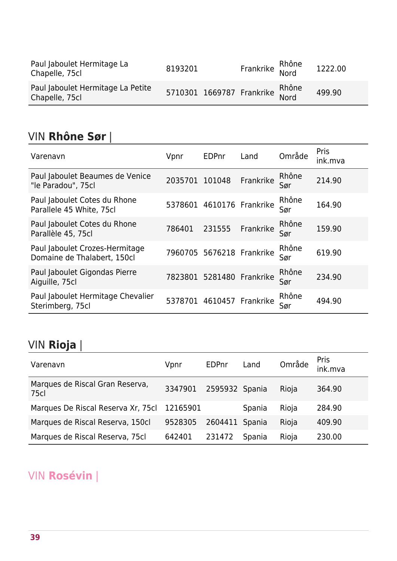| Paul Jaboulet Hermitage La<br>Chapelle, 75cl        | 8193201 | Frankrike Rhône                 | 1222.00 |
|-----------------------------------------------------|---------|---------------------------------|---------|
| Paul Jaboulet Hermitage La Petite<br>Chapelle, 75cl |         | 5710301 1669787 Frankrike Rhône | 499.90  |

#### VIN **Rhône Sør** |

| Varenavn                                                      | Vpnr           | <b>EDPnr</b>              | Land              | Område       | <b>Pris</b><br>ink.mva |
|---------------------------------------------------------------|----------------|---------------------------|-------------------|--------------|------------------------|
| Paul Jaboulet Beaumes de Venice<br>"le Paradou", 75cl         | 2035701 101048 |                           | Frankrike         | Rhône<br>Sør | 214.90                 |
| Paul Jaboulet Cotes du Rhone<br>Parallele 45 White, 75cl      |                | 5378601 4610176 Frankrike |                   | Rhône<br>Sør | 164.90                 |
| Paul Jaboulet Cotes du Rhone<br>Parallèle 45, 75cl            | 786401         | 231555                    | Frankrike         | Rhône<br>Sør | 159.90                 |
| Paul Jaboulet Crozes-Hermitage<br>Domaine de Thalabert, 150cl |                | 7960705 5676218 Frankrike |                   | Rhône<br>Sør | 619.90                 |
| Paul Jaboulet Gigondas Pierre<br>Aiguille, 75cl               |                | 7823801 5281480 Frankrike |                   | Rhône<br>Sør | 234.90                 |
| Paul Jaboulet Hermitage Chevalier<br>Sterimberg, 75cl         | 5378701        |                           | 4610457 Frankrike | Rhône<br>Sør | 494.90                 |

## VIN **Rioja** |

| Varenavn                                | Vpnr     | <b>EDPnr</b> | Land   | Område | Pris<br>ink.mva |
|-----------------------------------------|----------|--------------|--------|--------|-----------------|
| Marques de Riscal Gran Reserva,<br>75cl | 3347901  | 2595932      | Spania | Rioja  | 364.90          |
| Marques De Riscal Reserva Xr, 75cl      | 12165901 |              | Spania | Rioja  | 284.90          |
| Marques de Riscal Reserva, 150cl        | 9528305  | 2604411      | Spania | Rioja  | 409.90          |
| Marques de Riscal Reserva, 75cl         | 642401   | 231472       | Spania | Rioja  | 230.00          |

### VIN **Rosévin** |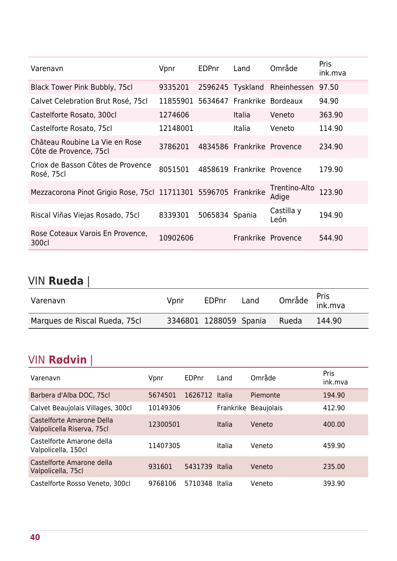| Varenavn                                                       | Vpnr     | <b>EDPnr</b>   | Land                       | Område                 | <b>Pris</b><br>ink.mva |
|----------------------------------------------------------------|----------|----------------|----------------------------|------------------------|------------------------|
| Black Tower Pink Bubbly, 75cl                                  | 9335201  |                | 2596245 Tyskland           | Rheinhessen            | 97.50                  |
| Calvet Celebration Brut Rosé, 75cl                             | 11855901 |                | 5634647 Frankrike Bordeaux |                        | 94.90                  |
| Castelforte Rosato, 300cl                                      | 1274606  |                | <b>Italia</b>              | Veneto                 | 363.90                 |
| Castelforte Rosato, 75cl                                       | 12148001 |                | <b>Italia</b>              | Veneto                 | 114.90                 |
| Château Roubine La Vie en Rose<br>Côte de Provence, 75cl       | 3786201  |                | 4834586 Frankrike Provence |                        | 234.90                 |
| Criox de Basson Côtes de Provence<br>Rosé, 75cl                | 8051501  |                | 4858619 Frankrike Provence |                        | 179.90                 |
| Mezzacorona Pinot Grigio Rose, 75cl 11711301 5596705 Frankrike |          |                |                            | Trentino-Alto<br>Adige | 123.90                 |
| Riscal Viñas Viejas Rosado, 75cl                               | 8339301  | 5065834 Spania |                            | Castilla y<br>León     | 194.90                 |
| Rose Coteaux Varois En Provence,<br>300cl                      | 10902606 |                | Frankrike Provence         |                        | 544.90                 |

### VIN **Rueda** |

| Varenavn                      | Vpnr | EDPnr                  | Land |       | Område <sup>Pris</sup><br>ink.mva |
|-------------------------------|------|------------------------|------|-------|-----------------------------------|
| Marques de Riscal Rueda, 75cl |      | 3346801 1288059 Spania |      | Rueda | 144.90                            |

#### VIN **Rødvin** |

| Varenavn                                                | Vpnr     | EDPnr          | Land      | Område            | Pris<br>ink.mva |
|---------------------------------------------------------|----------|----------------|-----------|-------------------|-----------------|
| Barbera d'Alba DOC, 75cl                                | 5674501  | 1626712 Italia |           | Piemonte          | 194.90          |
| Calvet Beaujolais Villages, 300cl                       | 10149306 |                | Frankrike | <b>Beaujolais</b> | 412.90          |
| Castelforte Amarone Della<br>Valpolicella Riserva, 75cl | 12300501 |                | Italia    | Veneto            | 400.00          |
| Castelforte Amarone della<br>Valpolicella, 150cl        | 11407305 |                | Italia    | Veneto            | 459.90          |
| Castelforte Amarone della<br>Valpolicella, 75cl         | 931601   | 5431739 Italia |           | Veneto            | 235.00          |
| Castelforte Rosso Veneto, 300cl                         | 9768106  | 5710348        | Italia    | Veneto            | 393.90          |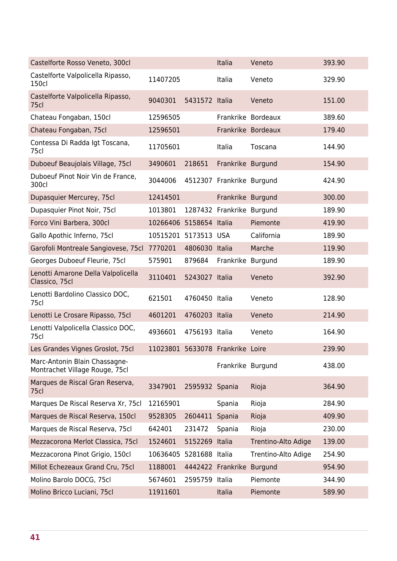| Castelforte Rosso Veneto, 300cl                                 |                                  |                | Italia                    | Veneto              | 393.90 |
|-----------------------------------------------------------------|----------------------------------|----------------|---------------------------|---------------------|--------|
| Castelforte Valpolicella Ripasso,<br><b>150cl</b>               | 11407205                         |                | Italia                    | Veneto              | 329.90 |
| Castelforte Valpolicella Ripasso,<br><b>75cl</b>                | 9040301                          | 5431572 Italia |                           | Veneto              | 151.00 |
| Chateau Fongaban, 150cl                                         | 12596505                         |                |                           | Frankrike Bordeaux  | 389.60 |
| Chateau Fongaban, 75cl                                          | 12596501                         |                |                           | Frankrike Bordeaux  | 179.40 |
| Contessa Di Radda Igt Toscana,<br>75cl                          | 11705601                         |                | Italia                    | Toscana             | 144.90 |
| Duboeuf Beaujolais Village, 75cl                                | 3490601                          | 218651         | Frankrike Burgund         |                     | 154.90 |
| Duboeuf Pinot Noir Vin de France,<br>300cl                      | 3044006                          |                | 4512307 Frankrike Burgund |                     | 424.90 |
| Dupasquier Mercurey, 75cl                                       | 12414501                         |                | Frankrike Burgund         |                     | 300.00 |
| Dupasquier Pinot Noir, 75cl                                     | 1013801                          |                | 1287432 Frankrike Burgund |                     | 189.90 |
| Forco Vini Barbera, 300cl                                       | 10266406 5158654 Italia          |                |                           | Piemonte            | 419.90 |
| Gallo Apothic Inferno, 75cl                                     | 10515201 5173513 USA             |                |                           | California          | 189.90 |
| Garofoli Montreale Sangiovese, 75cl                             | 7770201                          | 4806030 Italia |                           | Marche              | 119.90 |
| Georges Duboeuf Fleurie, 75cl                                   | 575901                           | 879684         | Frankrike                 | Burgund             | 189.90 |
| Lenotti Amarone Della Valpolicella<br>Classico, 75cl            | 3110401                          | 5243027 Italia |                           | Veneto              | 392.90 |
| Lenotti Bardolino Classico DOC,<br>75cl                         | 621501                           | 4760450 Italia |                           | Veneto              | 128.90 |
| Lenotti Le Crosare Ripasso, 75cl                                | 4601201                          | 4760203 Italia |                           | Veneto              | 214.90 |
| Lenotti Valpolicella Classico DOC,<br>75cl                      | 4936601                          | 4756193 Italia |                           | Veneto              | 164.90 |
| Les Grandes Vignes Groslot, 75cl                                | 11023801 5633078 Frankrike Loire |                |                           |                     | 239.90 |
| Marc-Antonin Blain Chassagne-<br>Montrachet Village Rouge, 75cl |                                  |                | Frankrike Burgund         |                     | 438.00 |
| Marques de Riscal Gran Reserva,<br>75 <sub>cl</sub>             | 3347901                          | 2595932 Spania |                           | Rioja               | 364.90 |
| Marques De Riscal Reserva Xr, 75cl                              | 12165901                         |                | Spania                    | Rioja               | 284.90 |
| Marques de Riscal Reserva, 150cl                                | 9528305                          | 2604411        | Spania                    | Rioja               | 409.90 |
| Marques de Riscal Reserva, 75cl                                 | 642401                           | 231472         | Spania                    | Rioja               | 230.00 |
| Mezzacorona Merlot Classica, 75cl                               | 1524601                          | 5152269 Italia |                           | Trentino-Alto Adige | 139.00 |
| Mezzacorona Pinot Grigio, 150cl                                 | 10636405                         | 5281688        | Italia                    | Trentino-Alto Adige | 254.90 |
| Millot Echezeaux Grand Cru, 75cl                                | 1188001                          |                | 4442422 Frankrike         | <b>Burgund</b>      | 954.90 |
| Molino Barolo DOCG, 75cl                                        | 5674601                          | 2595759 Italia |                           | Piemonte            | 344.90 |
| Molino Bricco Luciani, 75cl                                     | 11911601                         |                | Italia                    | Piemonte            | 589.90 |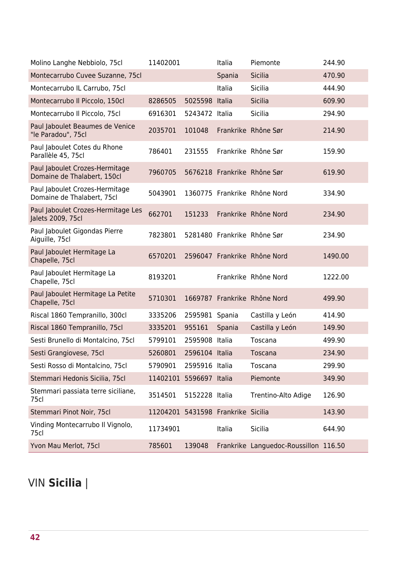| Molino Langhe Nebbiolo, 75cl                                  | 11402001                           |                | Italia | Piemonte                              | 244.90  |
|---------------------------------------------------------------|------------------------------------|----------------|--------|---------------------------------------|---------|
| Montecarrubo Cuvee Suzanne, 75cl                              |                                    |                | Spania | Sicilia                               | 470.90  |
| Montecarrubo IL Carrubo, 75cl                                 |                                    |                | Italia | <b>Sicilia</b>                        | 444.90  |
| Montecarrubo Il Piccolo, 150cl                                | 8286505                            | 5025598 Italia |        | <b>Sicilia</b>                        | 609.90  |
| Montecarrubo Il Piccolo, 75cl                                 | 6916301                            | 5243472 Italia |        | <b>Sicilia</b>                        | 294.90  |
| Paul Jaboulet Beaumes de Venice<br>"le Paradou", 75cl         | 2035701                            | 101048         |        | Frankrike Rhône Sør                   | 214.90  |
| Paul Jaboulet Cotes du Rhone<br>Parallèle 45, 75cl            | 786401                             | 231555         |        | Frankrike Rhône Sør                   | 159.90  |
| Paul Jaboulet Crozes-Hermitage<br>Domaine de Thalabert, 150cl | 7960705                            |                |        | 5676218 Frankrike Rhône Sør           | 619.90  |
| Paul Jaboulet Crozes-Hermitage<br>Domaine de Thalabert, 75cl  | 5043901                            |                |        | 1360775 Frankrike Rhône Nord          | 334.90  |
| Paul Jaboulet Crozes-Hermitage Les<br>Jalets 2009, 75cl       | 662701                             | 151233         |        | Frankrike Rhône Nord                  | 234.90  |
| Paul Jaboulet Gigondas Pierre<br>Aiguille, 75cl               | 7823801                            |                |        | 5281480 Frankrike Rhône Sør           | 234.90  |
| Paul Jaboulet Hermitage La<br>Chapelle, 75cl                  | 6570201                            |                |        | 2596047 Frankrike Rhône Nord          | 1490.00 |
| Paul Jaboulet Hermitage La<br>Chapelle, 75cl                  | 8193201                            |                |        | Frankrike Rhône Nord                  | 1222.00 |
| Paul Jaboulet Hermitage La Petite<br>Chapelle, 75cl           | 5710301                            |                |        | 1669787 Frankrike Rhône Nord          | 499.90  |
| Riscal 1860 Tempranillo, 300cl                                | 3335206                            | 2595981 Spania |        | Castilla y León                       | 414.90  |
| Riscal 1860 Tempranillo, 75cl                                 | 3335201                            | 955161         | Spania | Castilla y León                       | 149.90  |
| Sesti Brunello di Montalcino, 75cl                            | 5799101                            | 2595908 Italia |        | Toscana                               | 499.90  |
| Sesti Grangiovese, 75cl                                       | 5260801                            | 2596104 Italia |        | Toscana                               | 234.90  |
| Sesti Rosso di Montalcino, 75cl                               | 5790901                            | 2595916 Italia |        | Toscana                               | 299.90  |
| Stemmari Hedonis Sicilia, 75cl                                | 11402101 5596697 Italia            |                |        | Piemonte                              | 349.90  |
| Stemmari passiata terre siciliane,<br>75cl                    | 3514501                            | 5152228 Italia |        | Trentino-Alto Adige                   | 126.90  |
| Stemmari Pinot Noir, 75cl                                     | 11204201 5431598 Frankrike Sicilia |                |        |                                       | 143.90  |
| Vinding Montecarrubo Il Vignolo,<br>75cl                      | 11734901                           |                | Italia | Sicilia                               | 644.90  |
| Yvon Mau Merlot, 75cl                                         | 785601                             | 139048         |        | Frankrike Languedoc-Roussillon 116.50 |         |

## VIN **Sicilia** |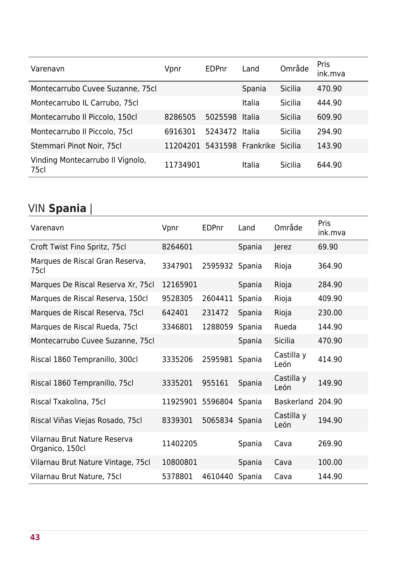| Varenavn                                 | Vpnr                               | EDPnr          | Land   | Område         | Pris<br>ink.mva |
|------------------------------------------|------------------------------------|----------------|--------|----------------|-----------------|
| Montecarrubo Cuvee Suzanne, 75cl         |                                    |                | Spania | Sicilia        | 470.90          |
| Montecarrubo IL Carrubo, 75cl            |                                    |                | Italia | Sicilia        | 444.90          |
| Montecarrubo Il Piccolo, 150cl           | 8286505                            | 5025598 Italia |        | <b>Sicilia</b> | 609.90          |
| Montecarrubo Il Piccolo, 75cl            | 6916301                            | 5243472 Italia |        | <b>Sicilia</b> | 294.90          |
| Stemmari Pinot Noir, 75cl                | 11204201 5431598 Frankrike Sicilia |                |        |                | 143.90          |
| Vinding Montecarrubo Il Vignolo,<br>75cl | 11734901                           |                | Italia | Sicilia        | 644.90          |

## VIN **Spania** |

| Varenavn                                        | Vpnr                    | EDPnr          | Land   | Område             | Pris<br>ink.mva |
|-------------------------------------------------|-------------------------|----------------|--------|--------------------|-----------------|
| Croft Twist Fino Spritz, 75cl                   | 8264601                 |                | Spania | <b>Jerez</b>       | 69.90           |
| Marques de Riscal Gran Reserva,<br>75cl         | 3347901                 | 2595932 Spania |        | Rioja              | 364.90          |
| Marques De Riscal Reserva Xr, 75cl              | 12165901                |                | Spania | Rioja              | 284.90          |
| Marques de Riscal Reserva, 150cl                | 9528305                 | 2604411        | Spania | Rioja              | 409.90          |
| Marques de Riscal Reserva, 75cl                 | 642401                  | 231472         | Spania | Rioja              | 230.00          |
| Marques de Riscal Rueda, 75cl                   | 3346801                 | 1288059        | Spania | Rueda              | 144.90          |
| Montecarrubo Cuvee Suzanne, 75cl                |                         |                | Spania | <b>Sicilia</b>     | 470.90          |
| Riscal 1860 Tempranillo, 300cl                  | 3335206                 | 2595981        | Spania | Castilla y<br>León | 414.90          |
| Riscal 1860 Tempranillo, 75cl                   | 3335201                 | 955161         | Spania | Castilla y<br>León | 149.90          |
| Riscal Txakolina, 75cl                          | 11925901 5596804 Spania |                |        | <b>Baskerland</b>  | 204.90          |
| Riscal Viñas Viejas Rosado, 75cl                | 8339301                 | 5065834 Spania |        | Castilla y<br>León | 194.90          |
| Vilarnau Brut Nature Reserva<br>Organico, 150cl | 11402205                |                | Spania | Cava               | 269.90          |
| Vilarnau Brut Nature Vintage, 75cl              | 10800801                |                | Spania | Cava               | 100.00          |
| Vilarnau Brut Nature, 75cl                      | 5378801                 | 4610440        | Spania | Cava               | 144.90          |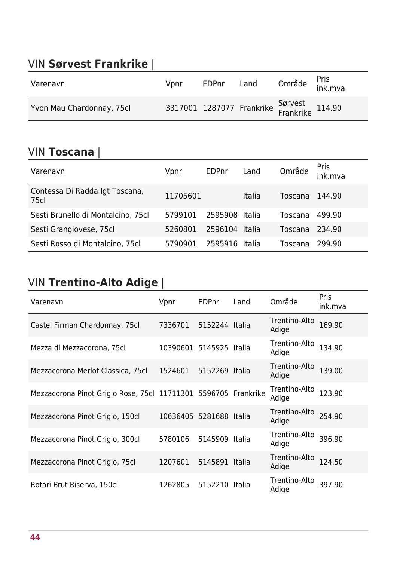#### VIN **Sørvest Frankrike** |

| Varenavn                  | Vpnr | EDPnr | Land                                                  | Område <sup>Pris</sup><br>ink.mva |  |
|---------------------------|------|-------|-------------------------------------------------------|-----------------------------------|--|
| Yvon Mau Chardonnay, 75cl |      |       | 3317001 1287077 Frankrike Sørvest<br>Frankrike 114.90 |                                   |  |

#### VIN **Toscana** |

| <b>VIIV LOSCANA</b>                    |          |         |        |         |                 |
|----------------------------------------|----------|---------|--------|---------|-----------------|
| Varenavn                               | Vpnr     | EDPnr   | Land   | Område  | Pris<br>ink.mva |
| Contessa Di Radda Igt Toscana,<br>75cl | 11705601 |         | Italia | Toscana | 144.90          |
| Sesti Brunello di Montalcino, 75cl     | 5799101  | 2595908 | Italia | Toscana | 499.90          |
| Sesti Grangiovese, 75cl                | 5260801  | 2596104 | Italia | Toscana | 234.90          |
| Sesti Rosso di Montalcino, 75cl        | 5790901  | 2595916 | Italia | Toscana | 299.90          |

### VIN **Trentino-Alto Adige** |

| Varenavn                                                       | Vpnr                    | EDPnr          | Land | Område                 | Pris<br>ink.mva |
|----------------------------------------------------------------|-------------------------|----------------|------|------------------------|-----------------|
| Castel Firman Chardonnay, 75cl                                 | 7336701                 | 5152244 Italia |      | Trentino-Alto<br>Adige | 169.90          |
| Mezza di Mezzacorona, 75cl                                     | 10390601 5145925 Italia |                |      | Trentino-Alto<br>Adige | 134.90          |
| Mezzacorona Merlot Classica, 75cl                              | 1524601                 | 5152269 Italia |      | Trentino-Alto<br>Adige | 139.00          |
| Mezzacorona Pinot Grigio Rose, 75cl 11711301 5596705 Frankrike |                         |                |      | Trentino-Alto<br>Adige | 123.90          |
| Mezzacorona Pinot Grigio, 150cl                                | 10636405 5281688 Italia |                |      | Trentino-Alto<br>Adige | 254.90          |
| Mezzacorona Pinot Grigio, 300cl                                | 5780106                 | 5145909 Italia |      | Trentino-Alto<br>Adige | 396.90          |
| Mezzacorona Pinot Grigio, 75cl                                 | 1207601                 | 5145891 Italia |      | Trentino-Alto<br>Adige | 124.50          |
| Rotari Brut Riserva, 150cl                                     | 1262805                 | 5152210 Italia |      | Trentino-Alto<br>Adige | 397.90          |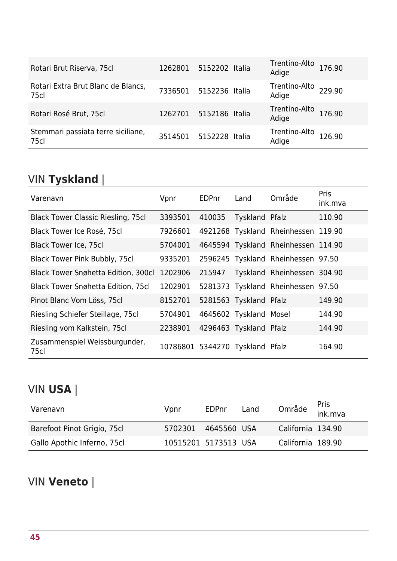| Rotari Brut Riserva, 75cl                  | 1262801 | 5152202 Italia | Trentino-Alto<br>Adige                   | 176.90 |
|--------------------------------------------|---------|----------------|------------------------------------------|--------|
| Rotari Extra Brut Blanc de Blancs,<br>75cl | 7336501 | 5152236 Italia | Trentino-Alto <sub>229.90</sub><br>Adige |        |
| Rotari Rosé Brut, 75cl                     | 1262701 | 5152186 Italia | Trentino-Alto<br>Adige                   | 176.90 |
| Stemmari passiata terre siciliane,<br>75cl | 3514501 | 5152228 Italia | Trentino-Alto<br>Adige                   | 126.90 |

# VIN **Tyskland** |

| Varenavn                                   | Vpnr                            | <b>EDPnr</b> | Land                   | Område                              | Pris<br>ink.mva |
|--------------------------------------------|---------------------------------|--------------|------------------------|-------------------------------------|-----------------|
| <b>Black Tower Classic Riesling, 75cl</b>  | 3393501                         | 410035       | Tyskland Pfalz         |                                     | 110.90          |
| Black Tower Ice Rosé, 75cl                 | 7926601                         |              |                        | 4921268 Tyskland Rheinhessen 119.90 |                 |
| <b>Black Tower Ice, 75cl</b>               | 5704001                         |              |                        | 4645594 Tyskland Rheinhessen 114.90 |                 |
| Black Tower Pink Bubbly, 75cl              | 9335201                         |              |                        | 2596245 Tyskland Rheinhessen 97.50  |                 |
| <b>Black Tower Snøhetta Edition, 300cl</b> | 1202906                         | 215947       |                        | Tyskland Rheinhessen 304.90         |                 |
| <b>Black Tower Snøhetta Edition, 75cl</b>  | 1202901                         |              |                        | 5281373 Tyskland Rheinhessen 97.50  |                 |
| Pinot Blanc Vom Löss, 75cl                 | 8152701                         |              | 5281563 Tyskland Pfalz |                                     | 149.90          |
| Riesling Schiefer Steillage, 75cl          | 5704901                         |              | 4645602 Tyskland Mosel |                                     | 144.90          |
| Riesling vom Kalkstein, 75cl               | 2238901                         |              | 4296463 Tyskland Pfalz |                                     | 144.90          |
| Zusammenspiel Weissburgunder,<br>75cl      | 10786801 5344270 Tyskland Pfalz |              |                        |                                     | 164.90          |

### VIN **USA** |

| Varenavn                    | Vpnr                 | EDPnr       | Land |                   | Område <sup>Pris</sup><br>ink.mva |
|-----------------------------|----------------------|-------------|------|-------------------|-----------------------------------|
| Barefoot Pinot Grigio, 75cl | 5702301              | 4645560 USA |      | California 134.90 |                                   |
| Gallo Apothic Inferno, 75cl | 10515201 5173513 USA |             |      | California 189.90 |                                   |

### VIN **Veneto** |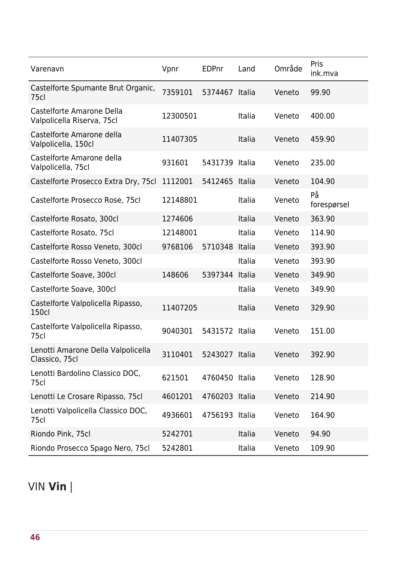| Varenavn                                                | Vpnr     | <b>EDPnr</b>   | Land   | Område | Pris<br>ink.mva   |
|---------------------------------------------------------|----------|----------------|--------|--------|-------------------|
| Castelforte Spumante Brut Organic,<br>75cl              | 7359101  | 5374467        | Italia | Veneto | 99.90             |
| Castelforte Amarone Della<br>Valpolicella Riserva, 75cl | 12300501 |                | Italia | Veneto | 400.00            |
| Castelforte Amarone della<br>Valpolicella, 150cl        | 11407305 |                | Italia | Veneto | 459.90            |
| Castelforte Amarone della<br>Valpolicella, 75cl         | 931601   | 5431739 Italia |        | Veneto | 235.00            |
| Castelforte Prosecco Extra Dry, 75cl                    | 1112001  | 5412465        | Italia | Veneto | 104.90            |
| Castelforte Prosecco Rose, 75cl                         | 12148801 |                | Italia | Veneto | På<br>forespørsel |
| Castelforte Rosato, 300cl                               | 1274606  |                | Italia | Veneto | 363.90            |
| Castelforte Rosato, 75cl                                | 12148001 |                | Italia | Veneto | 114.90            |
| Castelforte Rosso Veneto, 300cl                         | 9768106  | 5710348        | Italia | Veneto | 393.90            |
| Castelforte Rosso Veneto, 300cl                         |          |                | Italia | Veneto | 393.90            |
| Castelforte Soave, 300cl                                | 148606   | 5397344        | Italia | Veneto | 349.90            |
| Castelforte Soave, 300cl                                |          |                | Italia | Veneto | 349.90            |
| Castelforte Valpolicella Ripasso,<br>150cl              | 11407205 |                | Italia | Veneto | 329.90            |
| Castelforte Valpolicella Ripasso,<br>75cl               | 9040301  | 5431572 Italia |        | Veneto | 151.00            |
| Lenotti Amarone Della Valpolicella<br>Classico, 75cl    | 3110401  | 5243027 Italia |        | Veneto | 392.90            |
| Lenotti Bardolino Classico DOC,<br>75cl                 | 621501   | 4760450 Italia |        | Veneto | 128.90            |
| Lenotti Le Crosare Ripasso, 75cl                        | 4601201  | 4760203 Italia |        | Veneto | 214.90            |
| Lenotti Valpolicella Classico DOC,<br>75cl              | 4936601  | 4756193 Italia |        | Veneto | 164.90            |
| Riondo Pink, 75cl                                       | 5242701  |                | Italia | Veneto | 94.90             |
| Riondo Prosecco Spago Nero, 75cl                        | 5242801  |                | Italia | Veneto | 109.90            |

## VIN **Vin** |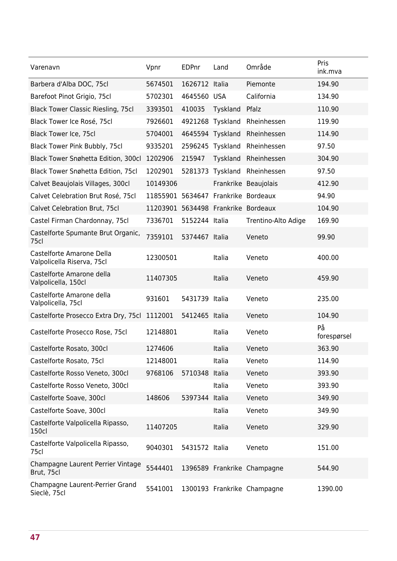| Varenavn                                                | Vpnr                                | <b>EDPnr</b>   | Land     | Område                      | Pris<br>ink.mva   |
|---------------------------------------------------------|-------------------------------------|----------------|----------|-----------------------------|-------------------|
| Barbera d'Alba DOC, 75cl                                | 5674501                             | 1626712 Italia |          | Piemonte                    | 194.90            |
| Barefoot Pinot Grigio, 75cl                             | 5702301                             | 4645560 USA    |          | California                  | 134.90            |
| <b>Black Tower Classic Riesling, 75cl</b>               | 3393501                             | 410035         | Tyskland | Pfalz                       | 110.90            |
| Black Tower Ice Rosé, 75cl                              | 7926601                             | 4921268        | Tyskland | Rheinhessen                 | 119.90            |
| Black Tower Ice, 75cl                                   | 5704001                             | 4645594        | Tyskland | Rheinhessen                 | 114.90            |
| Black Tower Pink Bubbly, 75cl                           | 9335201                             | 2596245        | Tyskland | Rheinhessen                 | 97.50             |
| Black Tower Snøhetta Edition, 300cl                     | 1202906                             | 215947         | Tyskland | Rheinhessen                 | 304.90            |
| Black Tower Snøhetta Edition, 75cl                      | 1202901                             | 5281373        | Tyskland | Rheinhessen                 | 97.50             |
| Calvet Beaujolais Villages, 300cl                       | 10149306                            |                |          | Frankrike Beaujolais        | 412.90            |
| Calvet Celebration Brut Rosé, 75cl                      | 11855901 5634647 Frankrike Bordeaux |                |          |                             | 94.90             |
| Calvet Celebration Brut, 75cl                           | 11203901 5634498 Frankrike Bordeaux |                |          |                             | 104.90            |
| Castel Firman Chardonnay, 75cl                          | 7336701                             | 5152244 Italia |          | Trentino-Alto Adige         | 169.90            |
| Castelforte Spumante Brut Organic,<br>75cl              | 7359101                             | 5374467 Italia |          | Veneto                      | 99.90             |
| Castelforte Amarone Della<br>Valpolicella Riserva, 75cl | 12300501                            |                | Italia   | Veneto                      | 400.00            |
| Castelforte Amarone della<br>Valpolicella, 150cl        | 11407305                            |                | Italia   | Veneto                      | 459.90            |
| Castelforte Amarone della<br>Valpolicella, 75cl         | 931601                              | 5431739 Italia |          | Veneto                      | 235.00            |
| Castelforte Prosecco Extra Dry, 75cl                    | 1112001                             | 5412465 Italia |          | Veneto                      | 104.90            |
| Castelforte Prosecco Rose, 75cl                         | 12148801                            |                | Italia   | Veneto                      | På<br>forespørsel |
| Castelforte Rosato, 300cl                               | 1274606                             |                | Italia   | Veneto                      | 363.90            |
| Castelforte Rosato, 75cl                                | 12148001                            |                | Italia   | Veneto                      | 114.90            |
| Castelforte Rosso Veneto, 300cl                         | 9768106                             | 5710348        | Italia   | Veneto                      | 393.90            |
| Castelforte Rosso Veneto, 300cl                         |                                     |                | Italia   | Veneto                      | 393.90            |
| Castelforte Soave, 300cl                                | 148606                              | 5397344        | Italia   | Veneto                      | 349.90            |
| Castelforte Soave, 300cl                                |                                     |                | Italia   | Veneto                      | 349.90            |
| Castelforte Valpolicella Ripasso,<br>150cl              | 11407205                            |                | Italia   | Veneto                      | 329.90            |
| Castelforte Valpolicella Ripasso,<br>75cl               | 9040301                             | 5431572 Italia |          | Veneto                      | 151.00            |
| Champagne Laurent Perrier Vintage<br>Brut, 75cl         | 5544401                             |                |          | 1396589 Frankrike Champagne | 544.90            |
| Champagne Laurent-Perrier Grand<br>Sieclè, 75cl         | 5541001                             |                |          | 1300193 Frankrike Champagne | 1390.00           |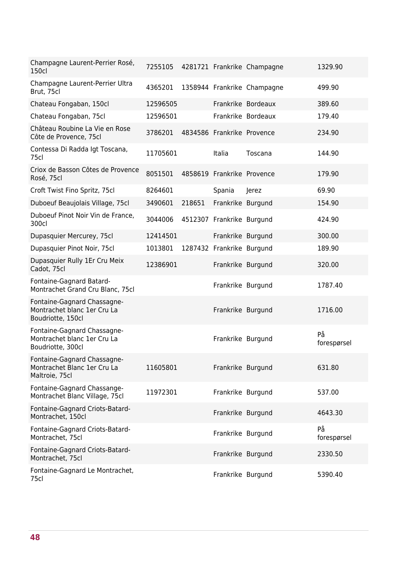| Champagne Laurent-Perrier Rosé,<br>150cl                                        | 7255105  |        |                            | 4281721 Frankrike Champagne | 1329.90           |
|---------------------------------------------------------------------------------|----------|--------|----------------------------|-----------------------------|-------------------|
| Champagne Laurent-Perrier Ultra<br>Brut, 75cl                                   | 4365201  |        |                            | 1358944 Frankrike Champagne | 499.90            |
| Chateau Fongaban, 150cl                                                         | 12596505 |        |                            | Frankrike Bordeaux          | 389.60            |
| Chateau Fongaban, 75cl                                                          | 12596501 |        |                            | Frankrike Bordeaux          | 179.40            |
| Château Roubine La Vie en Rose<br>Côte de Provence, 75cl                        | 3786201  |        | 4834586 Frankrike Provence |                             | 234.90            |
| Contessa Di Radda Igt Toscana,<br>75cl                                          | 11705601 |        | Italia                     | Toscana                     | 144.90            |
| Criox de Basson Côtes de Provence<br>Rosé, 75cl                                 | 8051501  |        | 4858619 Frankrike Provence |                             | 179.90            |
| Croft Twist Fino Spritz, 75cl                                                   | 8264601  |        | Spania                     | Jerez                       | 69.90             |
| Duboeuf Beaujolais Village, 75cl                                                | 3490601  | 218651 | Frankrike Burgund          |                             | 154.90            |
| Duboeuf Pinot Noir Vin de France,<br>300cl                                      | 3044006  |        | 4512307 Frankrike Burgund  |                             | 424.90            |
| Dupasquier Mercurey, 75cl                                                       | 12414501 |        | Frankrike Burgund          |                             | 300.00            |
| Dupasquier Pinot Noir, 75cl                                                     | 1013801  |        | 1287432 Frankrike Burgund  |                             | 189.90            |
| Dupasquier Rully 1Er Cru Meix<br>Cadot, 75cl                                    | 12386901 |        | Frankrike Burgund          |                             | 320.00            |
| Fontaine-Gagnard Batard-<br>Montrachet Grand Cru Blanc, 75cl                    |          |        | Frankrike Burgund          |                             | 1787.40           |
| Fontaine-Gagnard Chassagne-<br>Montrachet blanc 1er Cru La<br>Boudriotte, 150cl |          |        | Frankrike Burgund          |                             | 1716.00           |
| Fontaine-Gagnard Chassagne-<br>Montrachet blanc 1er Cru La<br>Boudriotte, 300cl |          |        | Frankrike Burgund          |                             | På<br>forespørsel |
| Fontaine-Gagnard Chassagne-<br>Montrachet Blanc 1er Cru La<br>Maltroie, 75cl    | 11605801 |        | Frankrike Burgund          |                             | 631.80            |
| Fontaine-Gagnard Chassange-<br>Montrachet Blanc Village, 75cl                   | 11972301 |        | Frankrike Burgund          |                             | 537.00            |
| Fontaine-Gagnard Criots-Batard-<br>Montrachet, 150cl                            |          |        | Frankrike Burgund          |                             | 4643.30           |
| Fontaine-Gagnard Criots-Batard-<br>Montrachet, 75cl                             |          |        | Frankrike Burgund          |                             | På<br>forespørsel |
| Fontaine-Gagnard Criots-Batard-<br>Montrachet, 75cl                             |          |        | Frankrike Burgund          |                             | 2330.50           |
| Fontaine-Gagnard Le Montrachet,<br>75cl                                         |          |        | Frankrike Burgund          |                             | 5390.40           |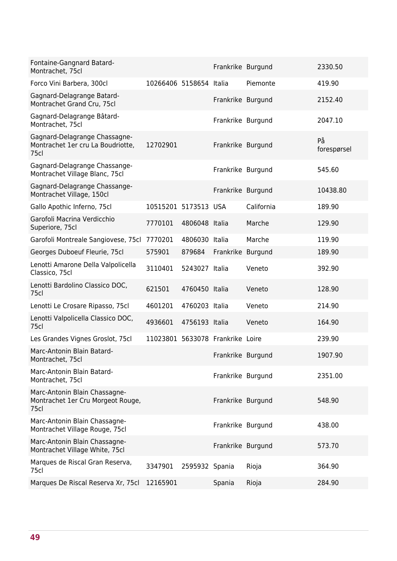| Fontaine-Gangnard Batard-<br>Montrachet, 75cl                              |                                  |                | Frankrike Burgund |            | 2330.50           |
|----------------------------------------------------------------------------|----------------------------------|----------------|-------------------|------------|-------------------|
| Forco Vini Barbera, 300cl                                                  | 10266406 5158654 Italia          |                |                   | Piemonte   | 419.90            |
| Gagnard-Delagrange Batard-<br>Montrachet Grand Cru, 75cl                   |                                  |                | Frankrike Burgund |            | 2152.40           |
| Gagnard-Delagrange Bâtard-<br>Montrachet, 75cl                             |                                  |                | Frankrike Burgund |            | 2047.10           |
| Gagnard-Delagrange Chassagne-<br>Montrachet 1er cru La Boudriotte,<br>75cl | 12702901                         |                | Frankrike Burgund |            | På<br>forespørsel |
| Gagnard-Delagrange Chassange-<br>Montrachet Village Blanc, 75cl            |                                  |                | Frankrike Burgund |            | 545.60            |
| Gagnard-Delagrange Chassange-<br>Montrachet Village, 150cl                 |                                  |                | Frankrike Burgund |            | 10438.80          |
| Gallo Apothic Inferno, 75cl                                                | 10515201 5173513 USA             |                |                   | California | 189.90            |
| Garofoli Macrina Verdicchio<br>Superiore, 75cl                             | 7770101                          | 4806048 Italia |                   | Marche     | 129.90            |
| Garofoli Montreale Sangiovese, 75cl                                        | 7770201                          | 4806030 Italia |                   | Marche     | 119.90            |
| Georges Duboeuf Fleurie, 75cl                                              | 575901                           | 879684         | Frankrike Burgund |            | 189.90            |
| Lenotti Amarone Della Valpolicella<br>Classico, 75cl                       | 3110401                          | 5243027 Italia |                   | Veneto     | 392.90            |
| Lenotti Bardolino Classico DOC,<br>75cl                                    | 621501                           | 4760450 Italia |                   | Veneto     | 128.90            |
| Lenotti Le Crosare Ripasso, 75cl                                           | 4601201                          | 4760203 Italia |                   | Veneto     | 214.90            |
| Lenotti Valpolicella Classico DOC,<br>75cl                                 | 4936601                          | 4756193 Italia |                   | Veneto     | 164.90            |
| Les Grandes Vignes Groslot, 75cl                                           | 11023801 5633078 Frankrike Loire |                |                   |            | 239.90            |
| Marc-Antonin Blain Batard-<br>Montrachet, 75cl                             |                                  |                | Frankrike Burgund |            | 1907.90           |
| Marc-Antonin Blain Batard-<br>Montrachet, 75cl                             |                                  |                | Frankrike Burgund |            | 2351.00           |
| Marc-Antonin Blain Chassagne-<br>Montrachet 1er Cru Morgeot Rouge,<br>75cl |                                  |                | Frankrike Burgund |            | 548.90            |
| Marc-Antonin Blain Chassagne-<br>Montrachet Village Rouge, 75cl            |                                  |                | Frankrike Burgund |            | 438.00            |
| Marc-Antonin Blain Chassagne-<br>Montrachet Village White, 75cl            |                                  |                | Frankrike Burgund |            | 573.70            |
| Marques de Riscal Gran Reserva,<br>75cl                                    | 3347901                          | 2595932 Spania |                   | Rioja      | 364.90            |
| Marques De Riscal Reserva Xr, 75cl                                         | 12165901                         |                | Spania            | Rioja      | 284.90            |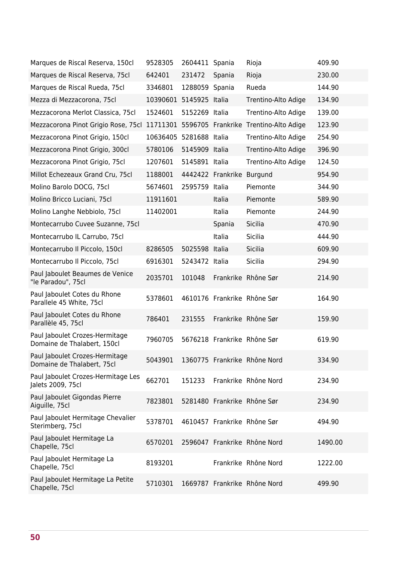| Marques de Riscal Reserva, 150cl                              | 9528305  | 2604411 Spania |                   | Rioja                        | 409.90  |
|---------------------------------------------------------------|----------|----------------|-------------------|------------------------------|---------|
| Marques de Riscal Reserva, 75cl                               | 642401   | 231472         | Spania            | Rioja                        | 230.00  |
| Marques de Riscal Rueda, 75cl                                 | 3346801  | 1288059 Spania |                   | Rueda                        | 144.90  |
| Mezza di Mezzacorona, 75cl                                    | 10390601 | 5145925 Italia |                   | Trentino-Alto Adige          | 134.90  |
| Mezzacorona Merlot Classica, 75cl                             | 1524601  | 5152269 Italia |                   | Trentino-Alto Adige          | 139.00  |
| Mezzacorona Pinot Grigio Rose, 75cl                           | 11711301 |                | 5596705 Frankrike | Trentino-Alto Adige          | 123.90  |
| Mezzacorona Pinot Grigio, 150cl                               | 10636405 | 5281688 Italia |                   | Trentino-Alto Adige          | 254.90  |
| Mezzacorona Pinot Grigio, 300cl                               | 5780106  | 5145909 Italia |                   | Trentino-Alto Adige          | 396.90  |
| Mezzacorona Pinot Grigio, 75cl                                | 1207601  | 5145891 Italia |                   | Trentino-Alto Adige          | 124.50  |
| Millot Echezeaux Grand Cru, 75cl                              | 1188001  |                | 4442422 Frankrike | <b>Burgund</b>               | 954.90  |
| Molino Barolo DOCG, 75cl                                      | 5674601  | 2595759 Italia |                   | Piemonte                     | 344.90  |
| Molino Bricco Luciani, 75cl                                   | 11911601 |                | Italia            | Piemonte                     | 589.90  |
| Molino Langhe Nebbiolo, 75cl                                  | 11402001 |                | Italia            | Piemonte                     | 244.90  |
| Montecarrubo Cuvee Suzanne, 75cl                              |          |                | Spania            | Sicilia                      | 470.90  |
| Montecarrubo IL Carrubo, 75cl                                 |          |                | Italia            | Sicilia                      | 444.90  |
| Montecarrubo Il Piccolo, 150cl                                | 8286505  | 5025598        | Italia            | Sicilia                      | 609.90  |
| Montecarrubo Il Piccolo, 75cl                                 | 6916301  | 5243472 Italia |                   | Sicilia                      | 294.90  |
| Paul Jaboulet Beaumes de Venice<br>"le Paradou", 75cl         | 2035701  | 101048         |                   | Frankrike Rhône Sør          | 214.90  |
| Paul Jaboulet Cotes du Rhone<br>Parallele 45 White, 75cl      | 5378601  |                |                   | 4610176 Frankrike Rhône Sør  | 164.90  |
| Paul Jaboulet Cotes du Rhone<br>Parallèle 45, 75cl            | 786401   | 231555         |                   | Frankrike Rhône Sør          | 159.90  |
| Paul Jaboulet Crozes-Hermitage<br>Domaine de Thalabert, 150cl | 7960705  |                |                   | 5676218 Frankrike Rhône Sør  | 619.90  |
| Paul Jaboulet Crozes-Hermitage<br>Domaine de Thalabert, 75cl  | 5043901  |                |                   | 1360775 Frankrike Rhône Nord | 334.90  |
| Paul Jaboulet Crozes-Hermitage Les<br>Jalets 2009, 75cl       | 662701   | 151233         |                   | Frankrike Rhône Nord         | 234.90  |
| Paul Jaboulet Gigondas Pierre<br>Aiguille, 75cl               | 7823801  |                |                   | 5281480 Frankrike Rhône Sør  | 234.90  |
| Paul Jaboulet Hermitage Chevalier<br>Sterimberg, 75cl         | 5378701  |                |                   | 4610457 Frankrike Rhône Sør  | 494.90  |
| Paul Jaboulet Hermitage La<br>Chapelle, 75cl                  | 6570201  |                |                   | 2596047 Frankrike Rhône Nord | 1490.00 |
| Paul Jaboulet Hermitage La<br>Chapelle, 75cl                  | 8193201  |                |                   | Frankrike Rhône Nord         | 1222.00 |
| Paul Jaboulet Hermitage La Petite<br>Chapelle, 75cl           | 5710301  |                |                   | 1669787 Frankrike Rhône Nord | 499.90  |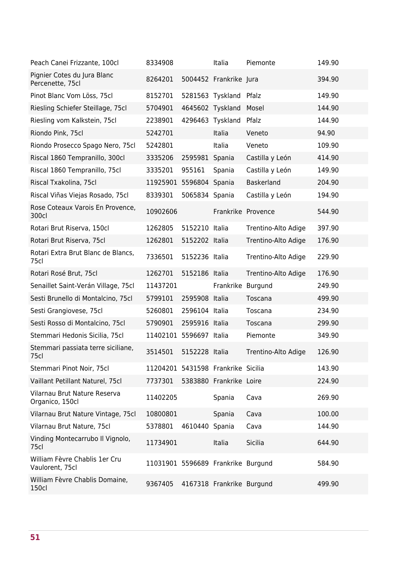| Peach Canei Frizzante, 100cl                     | 8334908                            |                  | Italia                    | Piemonte            | 149.90 |
|--------------------------------------------------|------------------------------------|------------------|---------------------------|---------------------|--------|
| Pignier Cotes du Jura Blanc<br>Percenette, 75cl  | 8264201                            |                  | 5004452 Frankrike Jura    |                     | 394.90 |
| Pinot Blanc Vom Löss, 75cl                       | 8152701                            | 5281563          | Tyskland                  | Pfalz               | 149.90 |
| Riesling Schiefer Steillage, 75cl                | 5704901                            | 4645602 Tyskland |                           | Mosel               | 144.90 |
| Riesling vom Kalkstein, 75cl                     | 2238901                            | 4296463          | Tyskland                  | Pfalz               | 144.90 |
| Riondo Pink, 75cl                                | 5242701                            |                  | Italia                    | Veneto              | 94.90  |
| Riondo Prosecco Spago Nero, 75cl                 | 5242801                            |                  | Italia                    | Veneto              | 109.90 |
| Riscal 1860 Tempranillo, 300cl                   | 3335206                            | 2595981 Spania   |                           | Castilla y León     | 414.90 |
| Riscal 1860 Tempranillo, 75cl                    | 3335201                            | 955161           | Spania                    | Castilla y León     | 149.90 |
| Riscal Txakolina, 75cl                           | 11925901 5596804                   |                  | Spania                    | Baskerland          | 204.90 |
| Riscal Viñas Viejas Rosado, 75cl                 | 8339301                            | 5065834          | Spania                    | Castilla y León     | 194.90 |
| Rose Coteaux Varois En Provence,<br>300cl        | 10902606                           |                  | Frankrike Provence        |                     | 544.90 |
| Rotari Brut Riserva, 150cl                       | 1262805                            | 5152210          | Italia                    | Trentino-Alto Adige | 397.90 |
| Rotari Brut Riserva, 75cl                        | 1262801                            | 5152202 Italia   |                           | Trentino-Alto Adige | 176.90 |
| Rotari Extra Brut Blanc de Blancs,<br>75cl       | 7336501                            | 5152236 Italia   |                           | Trentino-Alto Adige | 229.90 |
| Rotari Rosé Brut, 75cl                           | 1262701                            | 5152186 Italia   |                           | Trentino-Alto Adige | 176.90 |
| Senaillet Saint-Verán Village, 75cl              | 11437201                           |                  | Frankrike Burgund         |                     | 249.90 |
| Sesti Brunello di Montalcino, 75cl               | 5799101                            | 2595908          | Italia                    | Toscana             | 499.90 |
| Sesti Grangiovese, 75cl                          | 5260801                            | 2596104 Italia   |                           | Toscana             | 234.90 |
| Sesti Rosso di Montalcino, 75cl                  | 5790901                            | 2595916 Italia   |                           | Toscana             | 299.90 |
| Stemmari Hedonis Sicilia, 75cl                   | 11402101                           | 5596697 Italia   |                           | Piemonte            | 349.90 |
| Stemmari passiata terre siciliane,<br>75cl       | 3514501                            | 5152228 Italia   |                           | Trentino-Alto Adige | 126.90 |
| Stemmari Pinot Noir, 75cl                        | 11204201 5431598 Frankrike Sicilia |                  |                           |                     | 143.90 |
| Vaillant Petillant Naturel, 75cl                 | 7737301                            |                  | 5383880 Frankrike Loire   |                     | 224.90 |
| Vilarnau Brut Nature Reserva<br>Organico, 150cl  | 11402205                           |                  | Spania                    | Cava                | 269.90 |
| Vilarnau Brut Nature Vintage, 75cl               | 10800801                           |                  | Spania                    | Cava                | 100.00 |
| Vilarnau Brut Nature, 75cl                       | 5378801                            | 4610440          | Spania                    | Cava                | 144.90 |
| Vinding Montecarrubo Il Vignolo,<br>75cl         | 11734901                           |                  | Italia                    | Sicilia             | 644.90 |
| William Fèvre Chablis 1er Cru<br>Vaulorent, 75cl | 11031901 5596689 Frankrike Burgund |                  |                           |                     | 584.90 |
| William Fèvre Chablis Domaine,<br>150cl          | 9367405                            |                  | 4167318 Frankrike Burgund |                     | 499.90 |